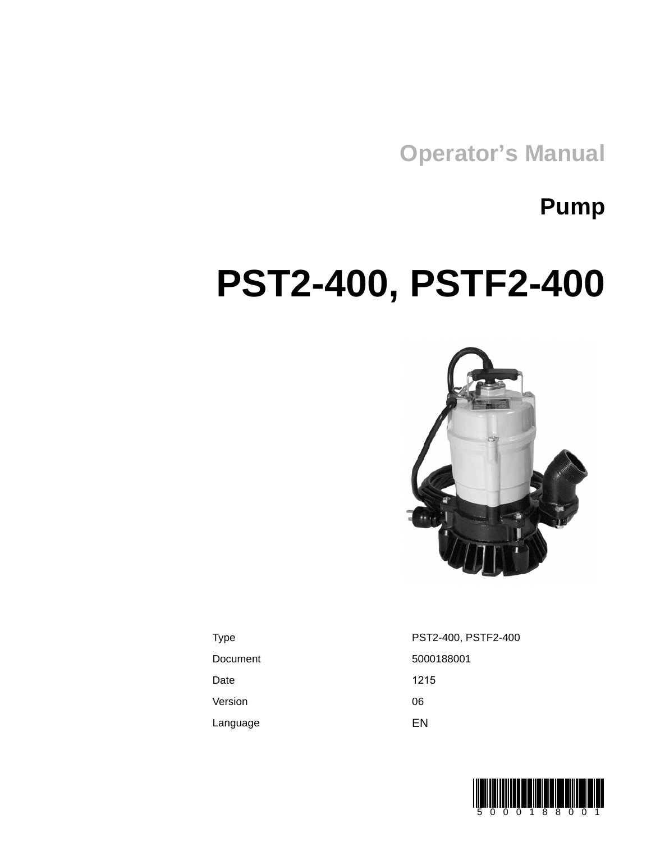**Operator's Manual**

**Pump**

# **PST2-400, PSTF2-400**



Date 2012 1215 Version 06 Language EN

Type **PST2-400, PSTF2-400** Document 5000188001

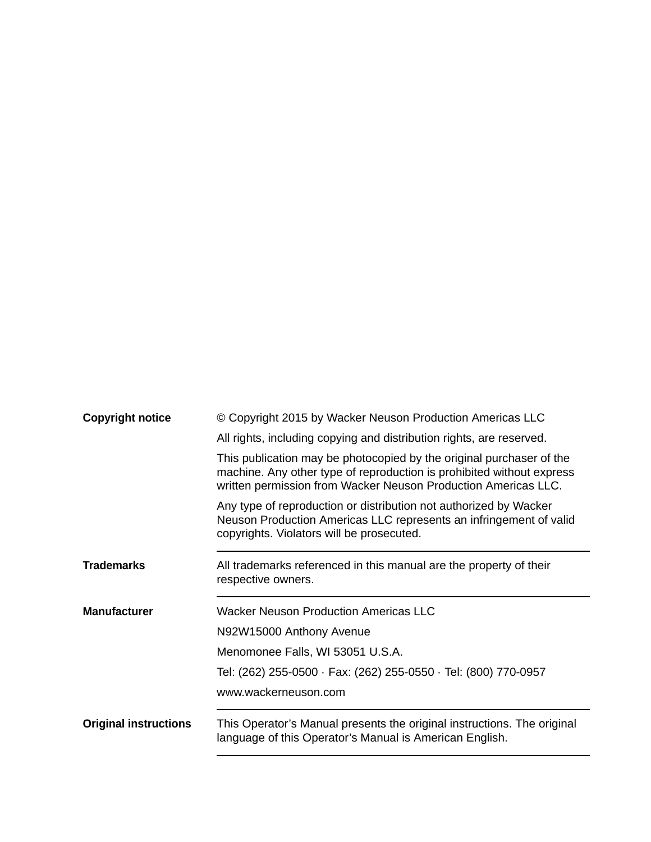| <b>Copyright notice</b>      | © Copyright 2015 by Wacker Neuson Production Americas LLC                                                                                                                                                       |
|------------------------------|-----------------------------------------------------------------------------------------------------------------------------------------------------------------------------------------------------------------|
|                              | All rights, including copying and distribution rights, are reserved.                                                                                                                                            |
|                              | This publication may be photocopied by the original purchaser of the<br>machine. Any other type of reproduction is prohibited without express<br>written permission from Wacker Neuson Production Americas LLC. |
|                              | Any type of reproduction or distribution not authorized by Wacker<br>Neuson Production Americas LLC represents an infringement of valid<br>copyrights. Violators will be prosecuted.                            |
| <b>Trademarks</b>            | All trademarks referenced in this manual are the property of their<br>respective owners.                                                                                                                        |
| <b>Manufacturer</b>          | <b>Wacker Neuson Production Americas LLC</b>                                                                                                                                                                    |
|                              | N92W15000 Anthony Avenue                                                                                                                                                                                        |
|                              | Menomonee Falls, WI 53051 U.S.A.                                                                                                                                                                                |
|                              | Tel: (262) 255-0500 · Fax: (262) 255-0550 · Tel: (800) 770-0957                                                                                                                                                 |
|                              | www.wackerneuson.com                                                                                                                                                                                            |
| <b>Original instructions</b> | This Operator's Manual presents the original instructions. The original<br>language of this Operator's Manual is American English.                                                                              |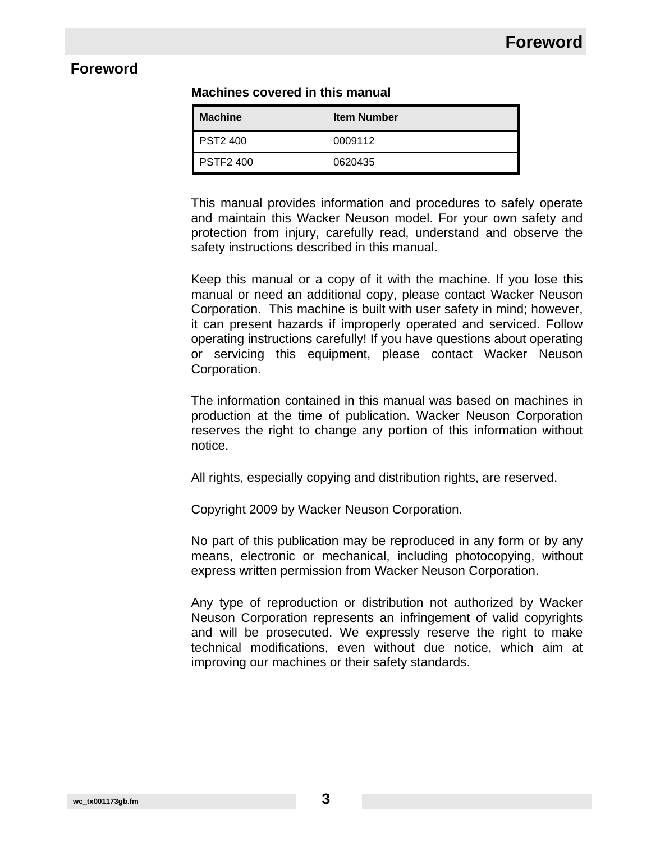## <span id="page-2-0"></span>**Foreword**

| <b>Machine</b>  | <b>Item Number</b> |
|-----------------|--------------------|
| <b>PST2400</b>  | 0009112            |
| <b>PSTF2400</b> | 0620435            |

## **Machines covered in this manual**

This manual provides information and procedures to safely operate and maintain this Wacker Neuson model. For your own safety and protection from injury, carefully read, understand and observe the safety instructions described in this manual.

Keep this manual or a copy of it with the machine. If you lose this manual or need an additional copy, please contact Wacker Neuson Corporation. This machine is built with user safety in mind; however, it can present hazards if improperly operated and serviced. Follow operating instructions carefully! If you have questions about operating or servicing this equipment, please contact Wacker Neuson Corporation.

The information contained in this manual was based on machines in production at the time of publication. Wacker Neuson Corporation reserves the right to change any portion of this information without notice.

All rights, especially copying and distribution rights, are reserved.

Copyright 2009 by Wacker Neuson Corporation.

No part of this publication may be reproduced in any form or by any means, electronic or mechanical, including photocopying, without express written permission from Wacker Neuson Corporation.

Any type of reproduction or distribution not authorized by Wacker Neuson Corporation represents an infringement of valid copyrights and will be prosecuted. We expressly reserve the right to make technical modifications, even without due notice, which aim at improving our machines or their safety standards.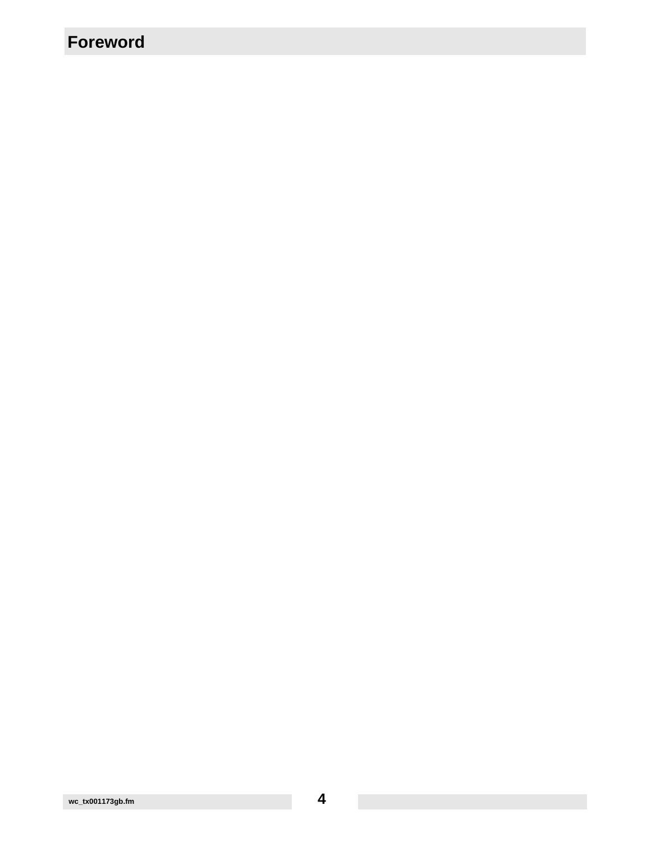# **Foreword**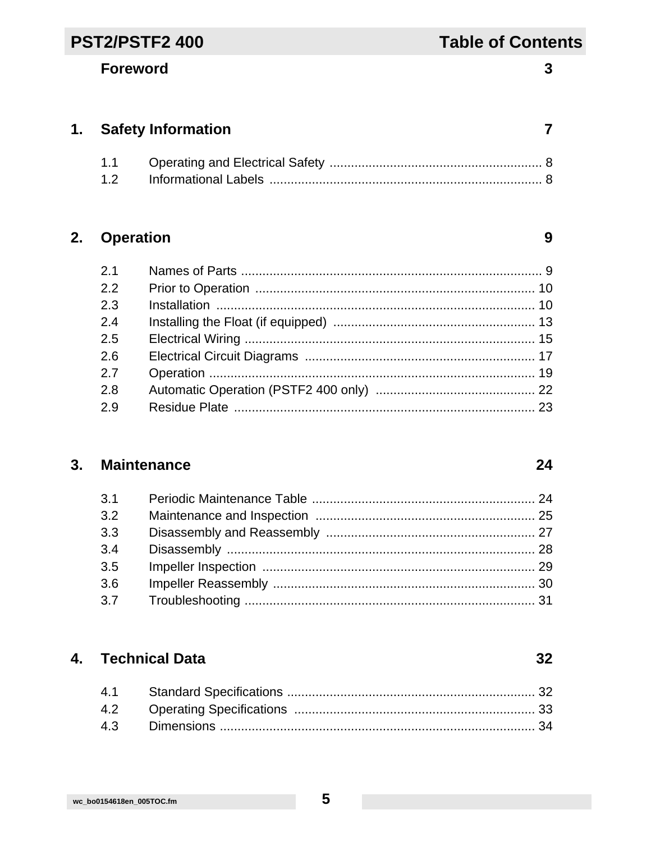## **PST2/PSTF2 400**

## **Foreword**

### **Safety Information**  $1.$  $1.1$

| $\sim$ . The state of the state of the state of $\sim$ . The state of the state of the state of the state of the state of the state of the state of the state of the state of the state of the state of the state of the state of |
|-----------------------------------------------------------------------------------------------------------------------------------------------------------------------------------------------------------------------------------|
|                                                                                                                                                                                                                                   |
|                                                                                                                                                                                                                                   |

### $2.$ **Operation**

| 2.1 |  |
|-----|--|
| 2.2 |  |
| 2.3 |  |
| 2.4 |  |
| 2.5 |  |
| 2.6 |  |
| 2.7 |  |
| 2.8 |  |
| 2.9 |  |

### $3.$ **Maintenance**

| 3.2 |  |
|-----|--|
| 3.3 |  |
| 3.4 |  |
| 3.5 |  |
| 3.6 |  |
|     |  |

## 4. Technical Data

 $5\phantom{1}$ 

32

## $9$

24

 $\mathbf{3}$ 

 $\overline{7}$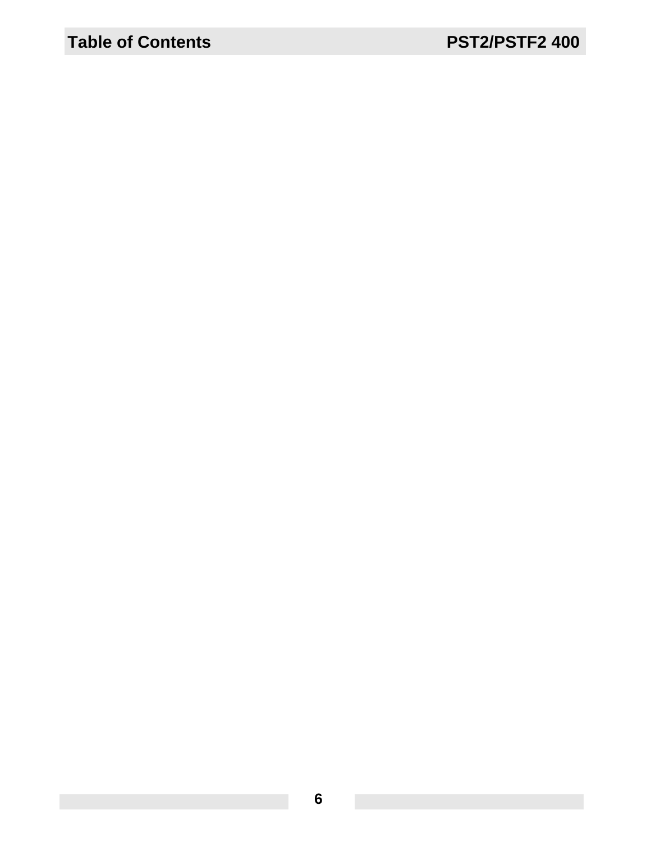# **Table of Contents PST2/PSTF2 400**

**watch in the contract of the contract of the contract of the contract of the contract of the contract of the contract of the contract of the contract of the contract of the contract of the contract of the contract of the**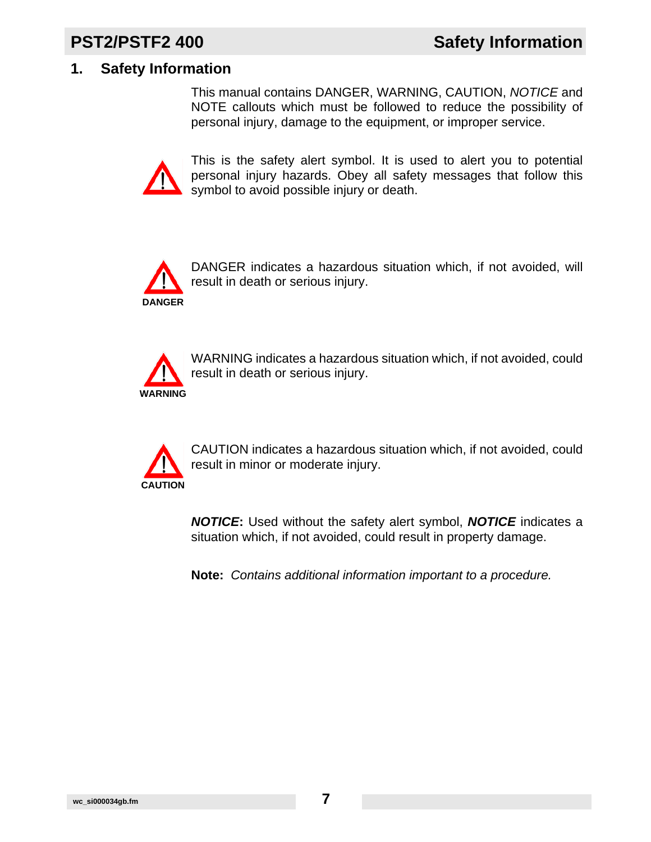## <span id="page-6-0"></span>**1. Safety Information**

This manual contains DANGER, WARNING, CAUTION, *NOTICE* and NOTE callouts which must be followed to reduce the possibility of personal injury, damage to the equipment, or improper service.



This is the safety alert symbol. It is used to alert you to potential personal injury hazards. Obey all safety messages that follow this symbol to avoid possible injury or death.



DANGER indicates a hazardous situation which, if not avoided, will result in death or serious injury.



WARNING indicates a hazardous situation which, if not avoided, could result in death or serious injury.



CAUTION indicates a hazardous situation which, if not avoided, could result in minor or moderate injury.

*NOTICE***:** Used without the safety alert symbol, *NOTICE* indicates a situation which, if not avoided, could result in property damage.

**Note:** *Contains additional information important to a procedure.*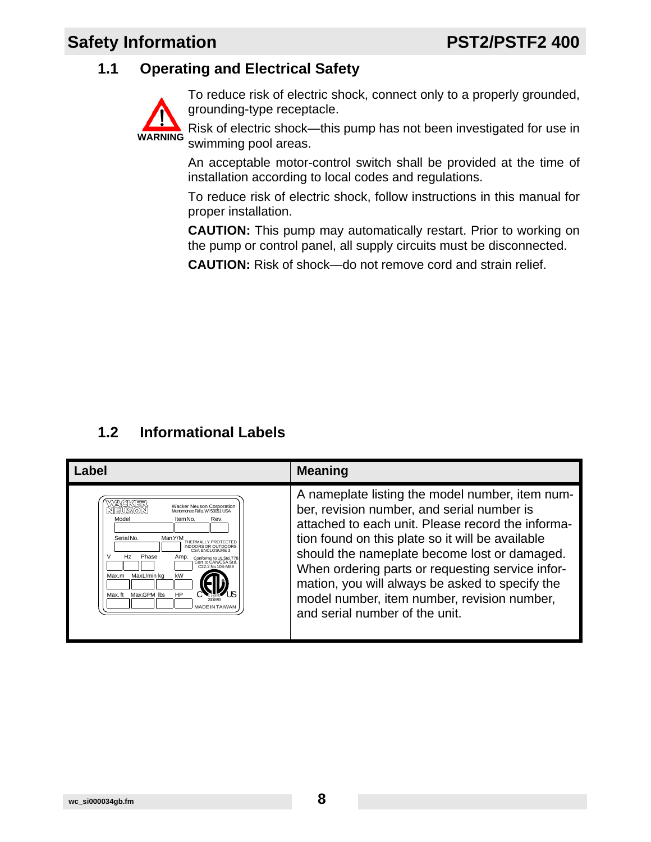## <span id="page-7-0"></span>**Safety Information PST2/PSTF2 400**

## **1.1 Operating and Electrical Safety**



To reduce risk of electric shock, connect only to a properly grounded, grounding-type receptacle.

Risk of electric shock—this pump has not been investigated for use in swimming pool areas.

An acceptable motor-control switch shall be provided at the time of installation according to local codes and regulations.

To reduce risk of electric shock, follow instructions in this manual for proper installation.

**CAUTION:** This pump may automatically restart. Prior to working on the pump or control panel, all supply circuits must be disconnected.

**CAUTION:** Risk of shock—do not remove cord and strain relief.

## <span id="page-7-1"></span>**1.2 Informational Labels**

| abel                                                                                                                                                                                                                                                                                                                                                                                | <b>Meaning</b>                                                                                                                                                                                                                                                                                                                                                                                                                                 |  |
|-------------------------------------------------------------------------------------------------------------------------------------------------------------------------------------------------------------------------------------------------------------------------------------------------------------------------------------------------------------------------------------|------------------------------------------------------------------------------------------------------------------------------------------------------------------------------------------------------------------------------------------------------------------------------------------------------------------------------------------------------------------------------------------------------------------------------------------------|--|
| W. KI U<br>Wacker Neuson Corporation<br>Menomonee Falls, WI 53051 USA<br>ItemNo.<br>Model<br>Rev.<br>Serial No.<br>Man.Y/M<br>THERMALLY PROTECTED<br>INDOORS OR OUTDOORS<br><b>SA ENCLOSURE 3</b><br>Phase<br>Hz<br>Amp.<br>Conforms to ULStd. 778<br>Cert.to CAN/CSA Std<br>C22.2 No.108-M89<br>MaxL/min kg<br>kW<br>Max.m<br>Max.GPM lbs<br>HP<br>Max.ft<br><b>MADE IN TAIWAN</b> | A nameplate listing the model number, item num-<br>ber, revision number, and serial number is<br>attached to each unit. Please record the informa-<br>tion found on this plate so it will be available<br>should the nameplate become lost or damaged.<br>When ordering parts or requesting service infor-<br>mation, you will always be asked to specify the<br>model number, item number, revision number,<br>and serial number of the unit. |  |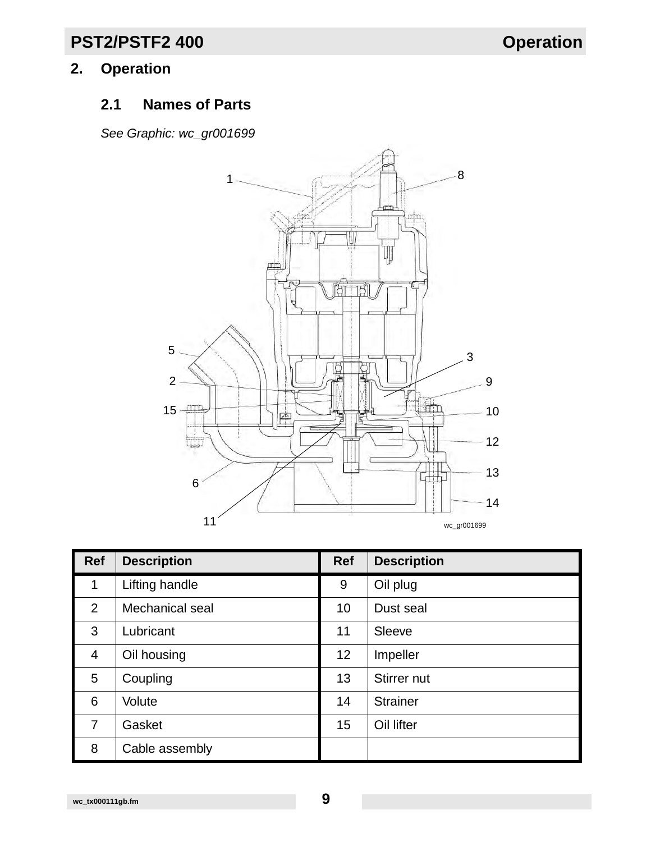# <span id="page-8-0"></span>**2. Operation**

## <span id="page-8-1"></span>**2.1 Names of Parts**

*See Graphic: wc\_gr001699* 



| Ref            | <b>Description</b> | <b>Ref</b> | <b>Description</b> |
|----------------|--------------------|------------|--------------------|
| 1              | Lifting handle     | 9          | Oil plug           |
| $\overline{2}$ | Mechanical seal    | 10         | Dust seal          |
| 3              | Lubricant          | 11         | Sleeve             |
| $\overline{4}$ | Oil housing        | 12         | Impeller           |
| 5              | Coupling           | 13         | Stirrer nut        |
| 6              | Volute             | 14         | <b>Strainer</b>    |
| $\overline{7}$ | Gasket             | 15         | Oil lifter         |
| 8              | Cable assembly     |            |                    |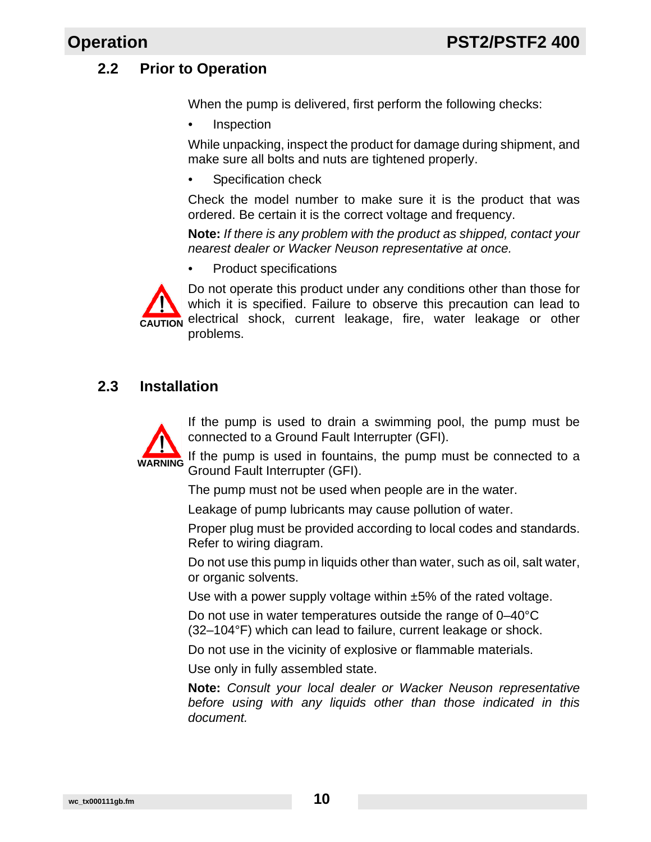## <span id="page-9-0"></span>**2.2 Prior to Operation**

When the pump is delivered, first perform the following checks:

**Inspection** 

While unpacking, inspect the product for damage during shipment, and make sure all bolts and nuts are tightened properly.

Specification check

Check the model number to make sure it is the product that was ordered. Be certain it is the correct voltage and frequency.

**Note:** *If there is any problem with the product as shipped, contact your nearest dealer or Wacker Neuson representative at once.*

• Product specifications



Do not operate this product under any conditions other than those for which it is specified. Failure to observe this precaution can lead to electrical shock, current leakage, fire, water leakage or other problems.

## <span id="page-9-1"></span>**2.3 Installation**



If the pump is used to drain a swimming pool, the pump must be connected to a Ground Fault Interrupter (GFI).

If the pump is used in fountains, the pump must be connected to a Ground Fault Interrupter (GFI).

The pump must not be used when people are in the water.

Leakage of pump lubricants may cause pollution of water.

Proper plug must be provided according to local codes and standards. Refer to wiring diagram.

Do not use this pump in liquids other than water, such as oil, salt water, or organic solvents.

Use with a power supply voltage within  $\pm 5\%$  of the rated voltage.

Do not use in water temperatures outside the range of 0–40°C (32–104°F) which can lead to failure, current leakage or shock.

Do not use in the vicinity of explosive or flammable materials.

Use only in fully assembled state.

**Note:** *Consult your local dealer or Wacker Neuson representative before using with any liquids other than those indicated in this document.*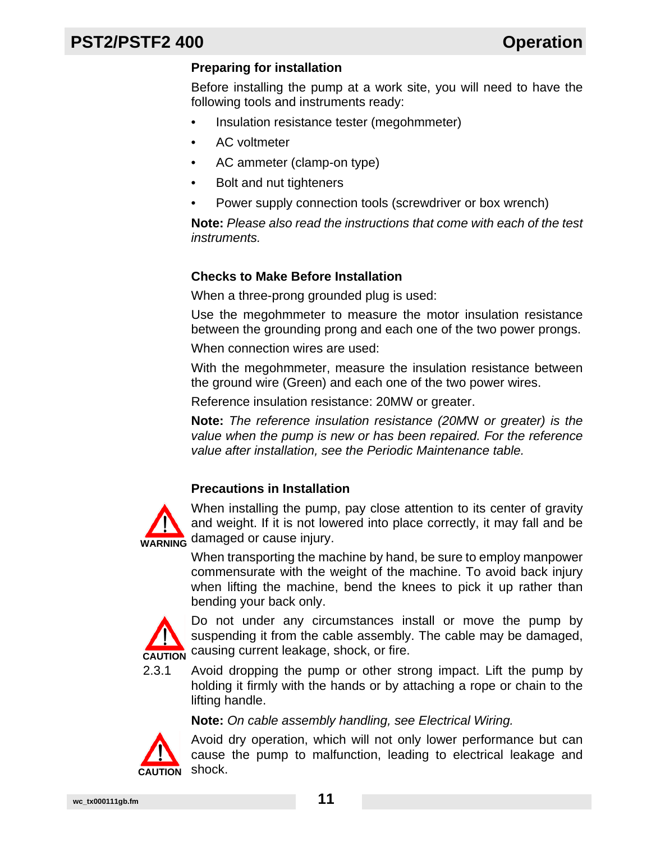## **PST2/PSTF2 400 Operation**

## **Preparing for installation**

Before installing the pump at a work site, you will need to have the following tools and instruments ready:

- Insulation resistance tester (megohmmeter)
- AC voltmeter
- AC ammeter (clamp-on type)
- Bolt and nut tighteners
- Power supply connection tools (screwdriver or box wrench)

**Note:** *Please also read the instructions that come with each of the test instruments.*

## **Checks to Make Before Installation**

When a three-prong grounded plug is used:

Use the megohmmeter to measure the motor insulation resistance between the grounding prong and each one of the two power prongs.

When connection wires are used:

With the megohmmeter, measure the insulation resistance between the ground wire (Green) and each one of the two power wires.

Reference insulation resistance: 20MW or greater.

**Note:** *The reference insulation resistance (20M*W *or greater) is the value when the pump is new or has been repaired. For the reference value after installation, see the Periodic Maintenance table.*

## **Precautions in Installation**



When installing the pump, pay close attention to its center of gravity and weight. If it is not lowered into place correctly, it may fall and be damaged or cause injury. **WARNING**

> When transporting the machine by hand, be sure to employ manpower commensurate with the weight of the machine. To avoid back injury when lifting the machine, bend the knees to pick it up rather than bending your back only.



Do not under any circumstances install or move the pump by suspending it from the cable assembly. The cable may be damaged, causing current leakage, shock, or fire. **CAUTION**

2.3.1 Avoid dropping the pump or other strong impact. Lift the pump by holding it firmly with the hands or by attaching a rope or chain to the lifting handle.

**Note:** *On cable assembly handling, see Electrical Wiring.*



Avoid dry operation, which will not only lower performance but can cause the pump to malfunction, leading to electrical leakage and shock.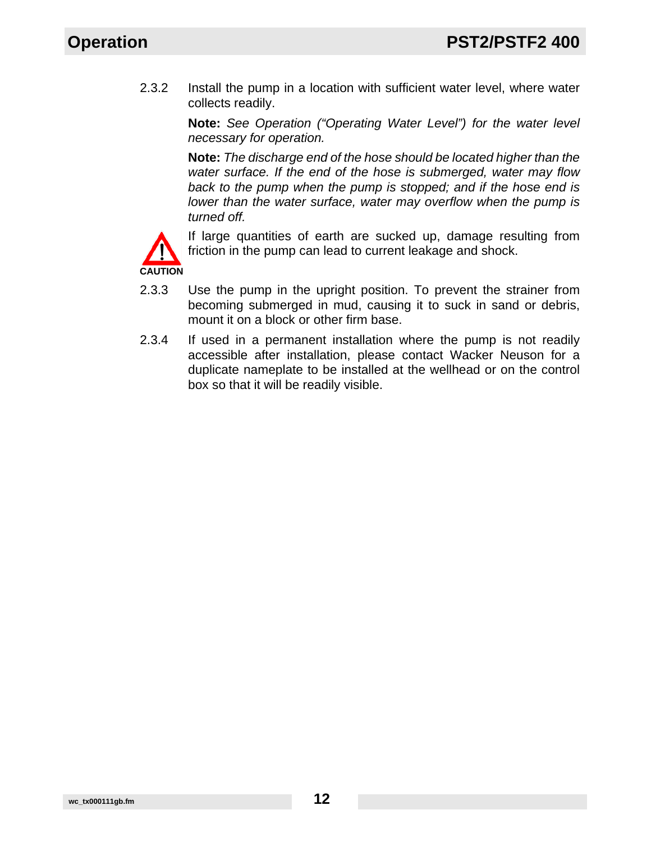2.3.2 Install the pump in a location with sufficient water level, where water collects readily.

> **Note:** *See Operation ("Operating Water Level") for the water level necessary for operation.*

> **Note:** *The discharge end of the hose should be located higher than the water surface. If the end of the hose is submerged, water may flow back to the pump when the pump is stopped; and if the hose end is lower than the water surface, water may overflow when the pump is turned off.*



If large quantities of earth are sucked up, damage resulting from friction in the pump can lead to current leakage and shock.

- 2.3.3 Use the pump in the upright position. To prevent the strainer from becoming submerged in mud, causing it to suck in sand or debris, mount it on a block or other firm base.
- 2.3.4 If used in a permanent installation where the pump is not readily accessible after installation, please contact Wacker Neuson for a duplicate nameplate to be installed at the wellhead or on the control box so that it will be readily visible.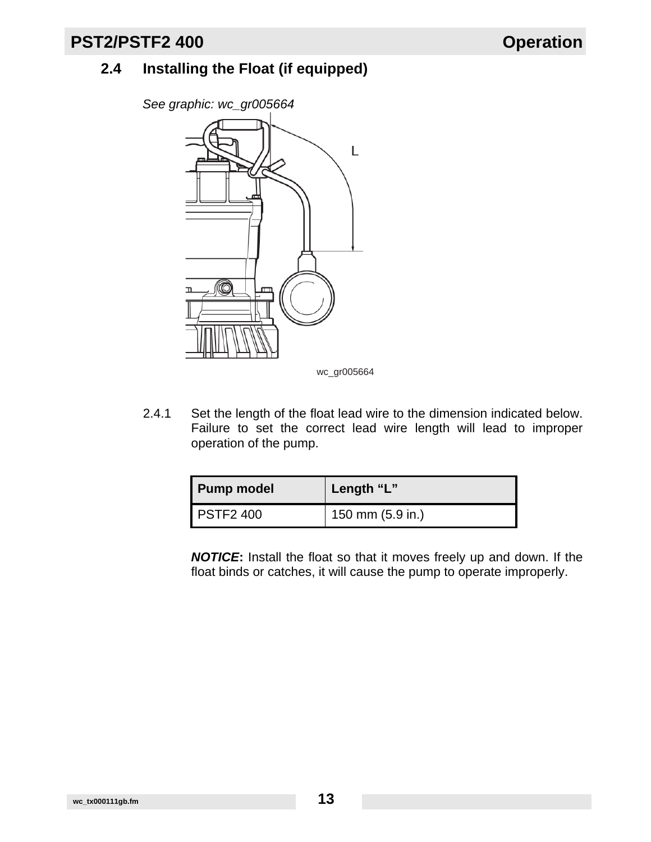## <span id="page-12-0"></span>**PST2/PSTF2 400 Operation**

## **2.4 Installing the Float (if equipped)**

*See graphic: wc\_gr005664*



2.4.1 Set the length of the float lead wire to the dimension indicated below. Failure to set the correct lead wire length will lead to improper operation of the pump.

| <b>Pump model</b> | ' Length "L"     |
|-------------------|------------------|
| <b>PSTF2400</b>   | 150 mm (5.9 in.) |

*NOTICE***:** Install the float so that it moves freely up and down. If the float binds or catches, it will cause the pump to operate improperly.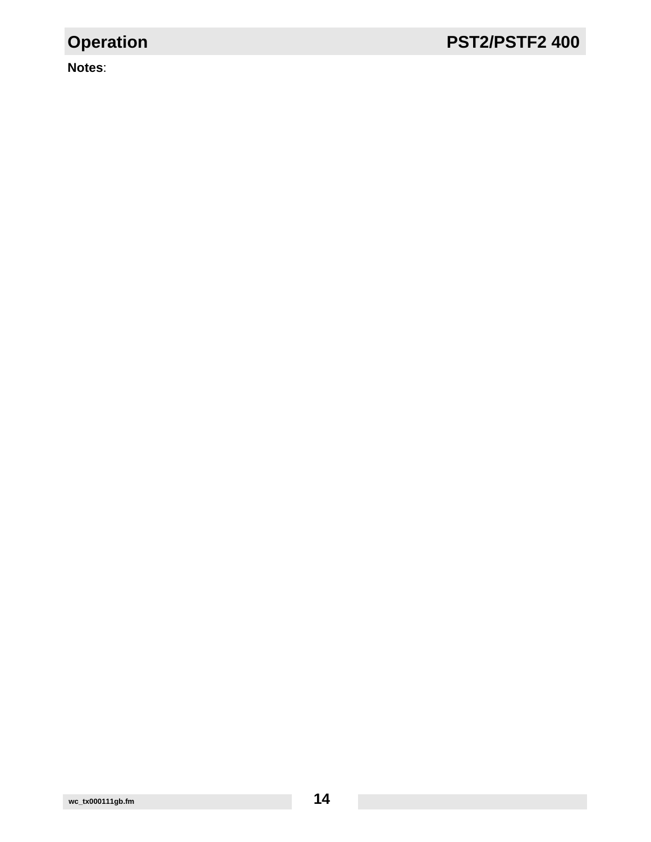**Notes**:

# **Operation PST2/PSTF2 400**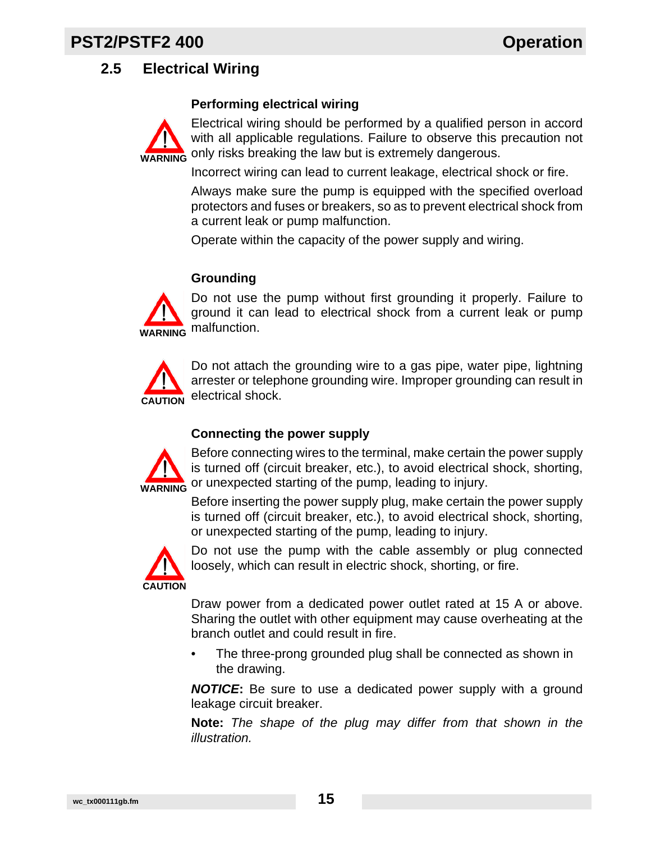## <span id="page-14-0"></span>**2.5 Electrical Wiring**

## **Performing electrical wiring**



Electrical wiring should be performed by a qualified person in accord with all applicable regulations. Failure to observe this precaution not only risks breaking the law but is extremely dangerous.

Incorrect wiring can lead to current leakage, electrical shock or fire.

Always make sure the pump is equipped with the specified overload protectors and fuses or breakers, so as to prevent electrical shock from a current leak or pump malfunction.

Operate within the capacity of the power supply and wiring.

## **Grounding**



Do not use the pump without first grounding it properly. Failure to ground it can lead to electrical shock from a current leak or pump malfunction.



Do not attach the grounding wire to a gas pipe, water pipe, lightning arrester or telephone grounding wire. Improper grounding can result in electrical shock.

## **Connecting the power supply**



Before connecting wires to the terminal, make certain the power supply is turned off (circuit breaker, etc.), to avoid electrical shock, shorting, **WARNING** or unexpected starting of the pump, leading to injury.

> Before inserting the power supply plug, make certain the power supply is turned off (circuit breaker, etc.), to avoid electrical shock, shorting, or unexpected starting of the pump, leading to injury.



Do not use the pump with the cable assembly or plug connected loosely, which can result in electric shock, shorting, or fire.

Draw power from a dedicated power outlet rated at 15 A or above. Sharing the outlet with other equipment may cause overheating at the branch outlet and could result in fire.

• The three-prong grounded plug shall be connected as shown in the drawing.

*NOTICE***:** Be sure to use a dedicated power supply with a ground leakage circuit breaker.

**Note:** *The shape of the plug may differ from that shown in the illustration.*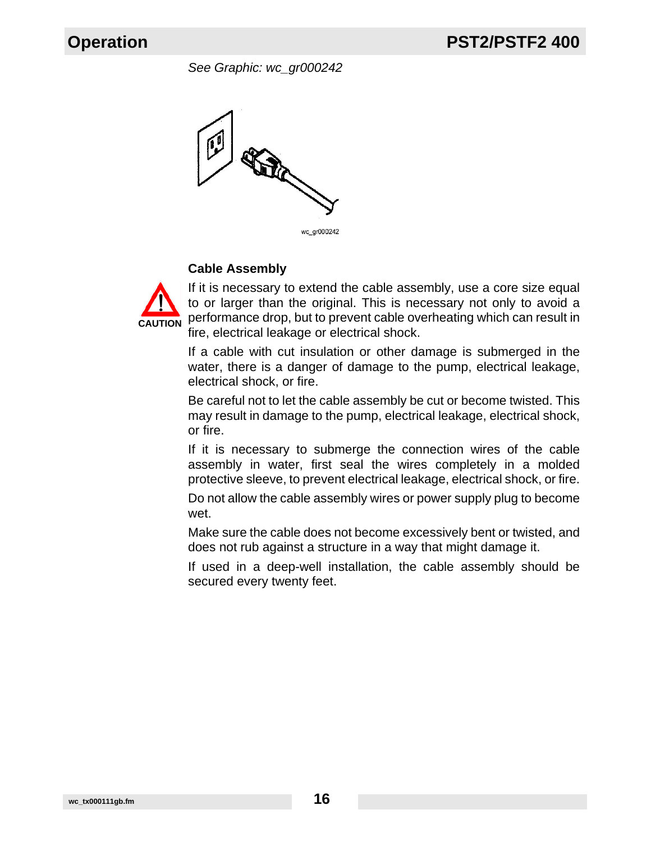*See Graphic: wc\_gr000242*



wc gr000242

## **Cable Assembly**



If it is necessary to extend the cable assembly, use a core size equal to or larger than the original. This is necessary not only to avoid a performance drop, but to prevent cable overheating which can result in fire, electrical leakage or electrical shock.

If a cable with cut insulation or other damage is submerged in the water, there is a danger of damage to the pump, electrical leakage, electrical shock, or fire.

Be careful not to let the cable assembly be cut or become twisted. This may result in damage to the pump, electrical leakage, electrical shock, or fire.

If it is necessary to submerge the connection wires of the cable assembly in water, first seal the wires completely in a molded protective sleeve, to prevent electrical leakage, electrical shock, or fire.

Do not allow the cable assembly wires or power supply plug to become wet.

Make sure the cable does not become excessively bent or twisted, and does not rub against a structure in a way that might damage it.

If used in a deep-well installation, the cable assembly should be secured every twenty feet.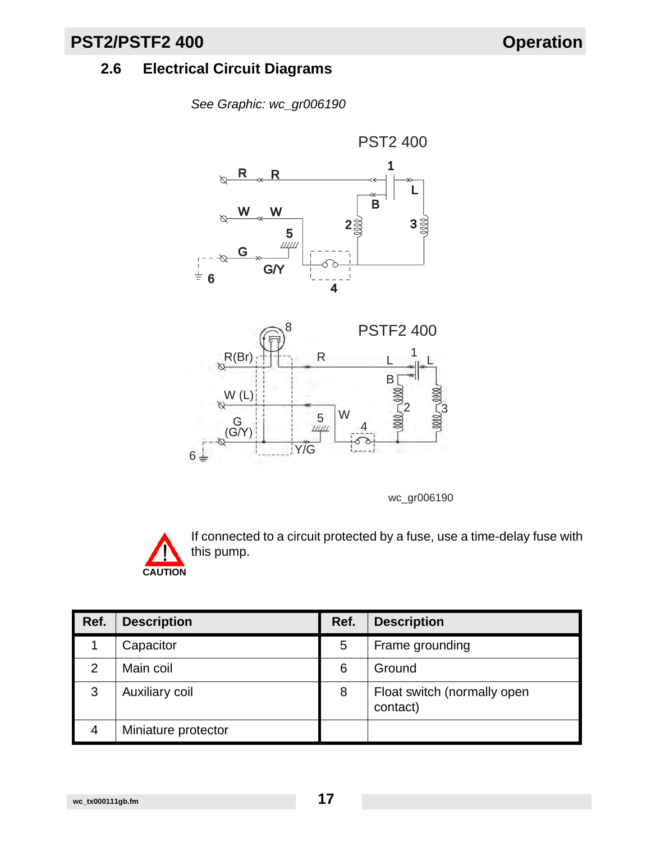## <span id="page-16-0"></span>**2.6 Electrical Circuit Diagrams**

*See Graphic: wc\_gr006190*





wc\_gr006190

If connected to a circuit protected by a fuse, use a time-delay fuse with this pump.

| Ref. | <b>Description</b>  | Ref. | <b>Description</b>                      |
|------|---------------------|------|-----------------------------------------|
|      | Capacitor           | 5    | Frame grounding                         |
| 2    | Main coil           | 6    | Ground                                  |
| 3    | Auxiliary coil      | 8    | Float switch (normally open<br>contact) |
| 4    | Miniature protector |      |                                         |

**CAUTION**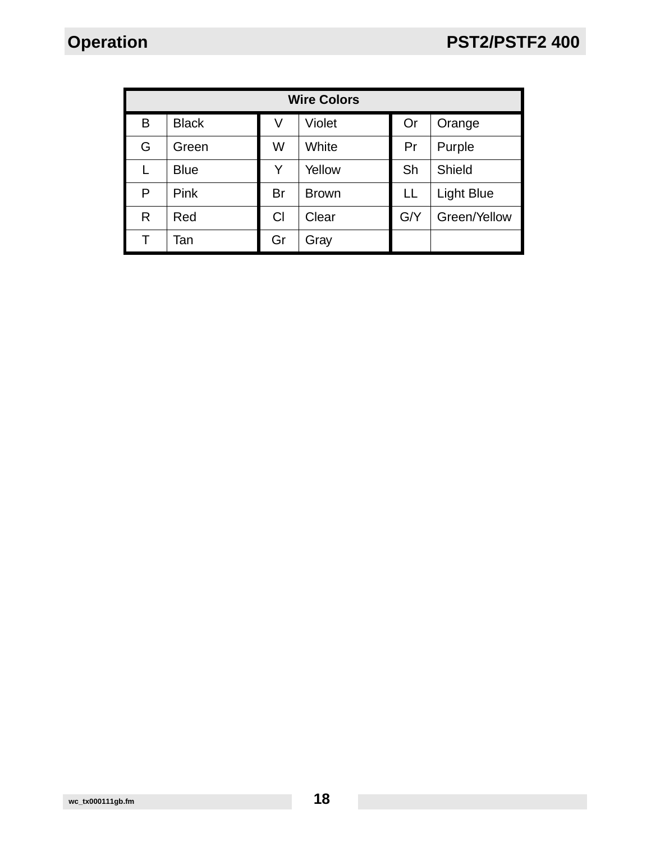| <b>Wire Colors</b> |              |    |              |     |                   |
|--------------------|--------------|----|--------------|-----|-------------------|
| B                  | <b>Black</b> | V  | Violet       | Or  | Orange            |
| G                  | Green        | W  | White        | Pr  | Purple            |
|                    | <b>Blue</b>  | Y  | Yellow       | Sh  | Shield            |
| P                  | <b>Pink</b>  | Br | <b>Brown</b> | LL  | <b>Light Blue</b> |
| R                  | Red          | Cl | Clear        | G/Y | Green/Yellow      |
| T                  | Tan          | Gr | Gray         |     |                   |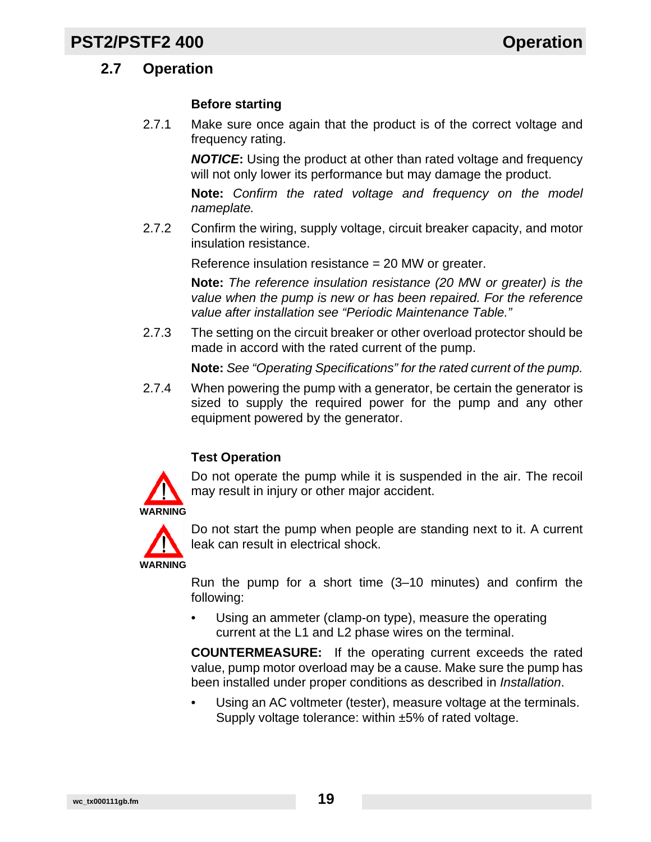## <span id="page-18-0"></span>**2.7 Operation**

## **Before starting**

2.7.1 Make sure once again that the product is of the correct voltage and frequency rating.

> *NOTICE***:** Using the product at other than rated voltage and frequency will not only lower its performance but may damage the product.

> **Note:** *Confirm the rated voltage and frequency on the model nameplate.*

2.7.2 Confirm the wiring, supply voltage, circuit breaker capacity, and motor insulation resistance.

Reference insulation resistance = 20 MW or greater.

**Note:** *The reference insulation resistance (20 M*W *or greater) is the value when the pump is new or has been repaired. For the reference value after installation see "Periodic Maintenance Table."*

2.7.3 The setting on the circuit breaker or other overload protector should be made in accord with the rated current of the pump.

**Note:** *See "Operating Specifications" for the rated current of the pump.*

2.7.4 When powering the pump with a generator, be certain the generator is sized to supply the required power for the pump and any other equipment powered by the generator.

## **Test Operation**



Do not operate the pump while it is suspended in the air. The recoil may result in injury or other major accident.



Do not start the pump when people are standing next to it. A current leak can result in electrical shock.

**WARNING**

Run the pump for a short time (3–10 minutes) and confirm the following:

Using an ammeter (clamp-on type), measure the operating current at the L1 and L2 phase wires on the terminal.

**COUNTERMEASURE:** If the operating current exceeds the rated value, pump motor overload may be a cause. Make sure the pump has been installed under proper conditions as described in *Installation*.

• Using an AC voltmeter (tester), measure voltage at the terminals. Supply voltage tolerance: within ±5% of rated voltage.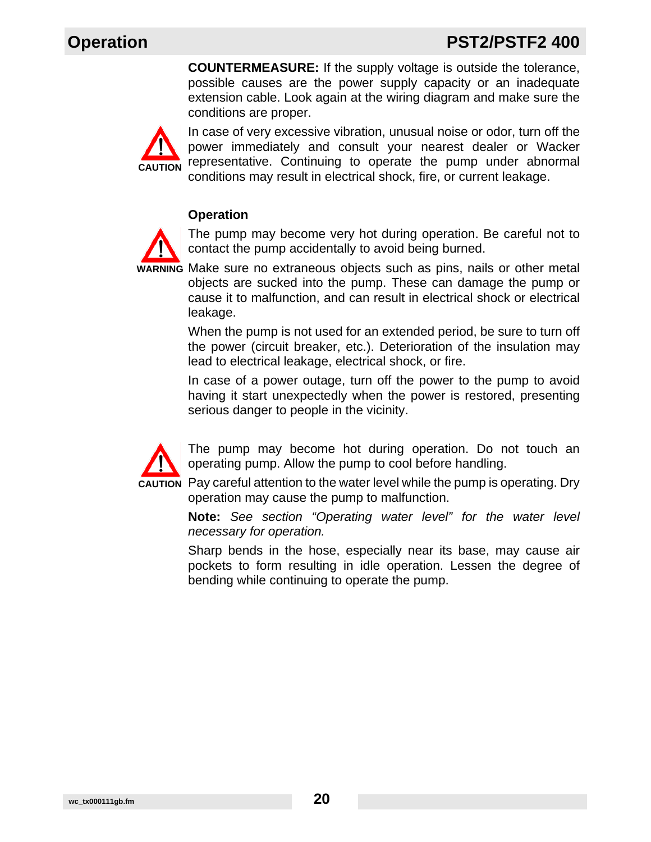**COUNTERMEASURE:** If the supply voltage is outside the tolerance, possible causes are the power supply capacity or an inadequate extension cable. Look again at the wiring diagram and make sure the conditions are proper.



In case of very excessive vibration, unusual noise or odor, turn off the power immediately and consult your nearest dealer or Wacker representative. Continuing to operate the pump under abnormal conditions may result in electrical shock, fire, or current leakage.

## **Operation**



The pump may become very hot during operation. Be careful not to contact the pump accidentally to avoid being burned.

warning Make sure no extraneous objects such as pins, nails or other metal objects are sucked into the pump. These can damage the pump or cause it to malfunction, and can result in electrical shock or electrical leakage.

> When the pump is not used for an extended period, be sure to turn off the power (circuit breaker, etc.). Deterioration of the insulation may lead to electrical leakage, electrical shock, or fire.

> In case of a power outage, turn off the power to the pump to avoid having it start unexpectedly when the power is restored, presenting serious danger to people in the vicinity.



The pump may become hot during operation. Do not touch an operating pump. Allow the pump to cool before handling.

Pay careful attention to the water level while the pump is operating. Dry **CAUTION**operation may cause the pump to malfunction.

> **Note:** *See section "Operating water level" for the water level necessary for operation.*

> Sharp bends in the hose, especially near its base, may cause air pockets to form resulting in idle operation. Lessen the degree of bending while continuing to operate the pump.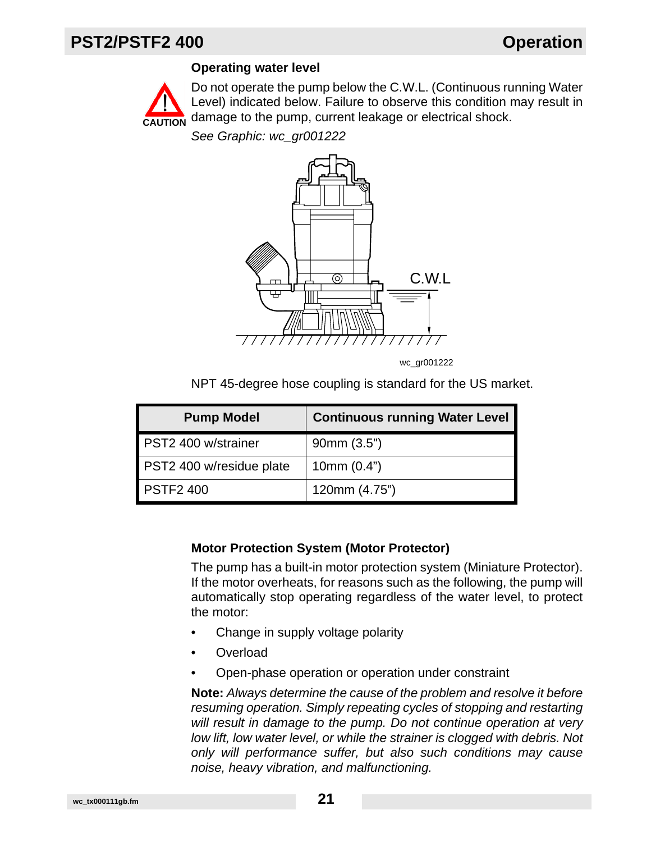## **Operating water level**



Do not operate the pump below the C.W.L. (Continuous running Water Level) indicated below. Failure to observe this condition may result in damage to the pump, current leakage or electrical shock.

*See Graphic: wc\_gr001222*



wc\_gr001222

NPT 45-degree hose coupling is standard for the US market.

| <b>Pump Model</b>        | <b>Continuous running Water Level</b> |
|--------------------------|---------------------------------------|
| PST2 400 w/strainer      | 90mm(3.5")                            |
| PST2 400 w/residue plate | 10mm $(0.4")$                         |
| <b>PSTF2400</b>          | 120mm (4.75")                         |

## **Motor Protection System (Motor Protector)**

The pump has a built-in motor protection system (Miniature Protector). If the motor overheats, for reasons such as the following, the pump will automatically stop operating regardless of the water level, to protect the motor:

- Change in supply voltage polarity
- **Overload**
- Open-phase operation or operation under constraint

**Note:** *Always determine the cause of the problem and resolve it before resuming operation. Simply repeating cycles of stopping and restarting will result in damage to the pump. Do not continue operation at very low lift, low water level, or while the strainer is clogged with debris. Not only will performance suffer, but also such conditions may cause noise, heavy vibration, and malfunctioning.*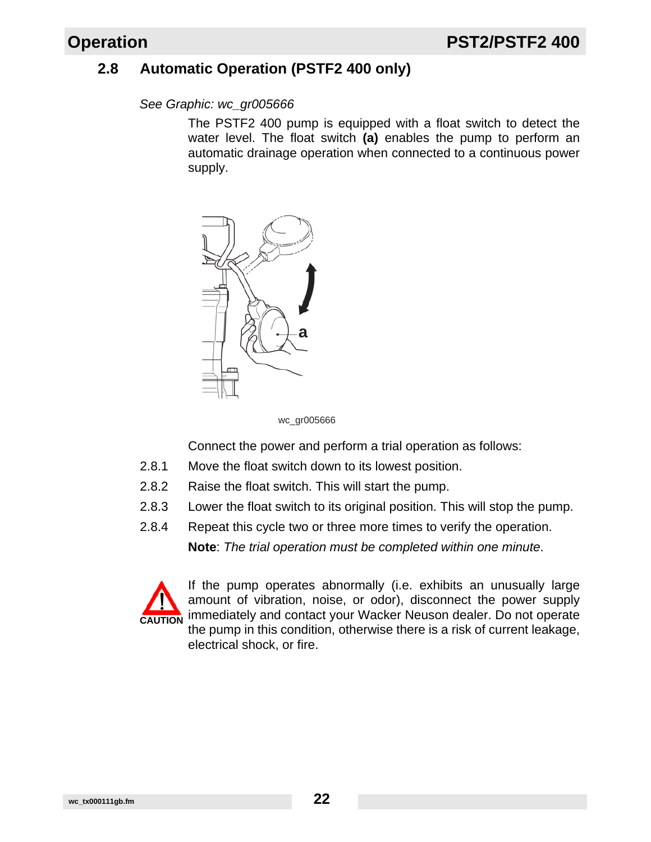## <span id="page-21-0"></span>**2.8 Automatic Operation (PSTF2 400 only)**

## *See Graphic: wc\_gr005666*

The PSTF2 400 pump is equipped with a float switch to detect the water level. The float switch **(a)** enables the pump to perform an automatic drainage operation when connected to a continuous power supply.



wc\_gr005666

Connect the power and perform a trial operation as follows:

- 2.8.1 Move the float switch down to its lowest position.
- 2.8.2 Raise the float switch. This will start the pump.
- 2.8.3 Lower the float switch to its original position. This will stop the pump.
- 2.8.4 Repeat this cycle two or three more times to verify the operation. **Note**: *The trial operation must be completed within one minute*.



If the pump operates abnormally (i.e. exhibits an unusually large amount of vibration, noise, or odor), disconnect the power supply immediately and contact your Wacker Neuson dealer. Do not operate the pump in this condition, otherwise there is a risk of current leakage, electrical shock, or fire.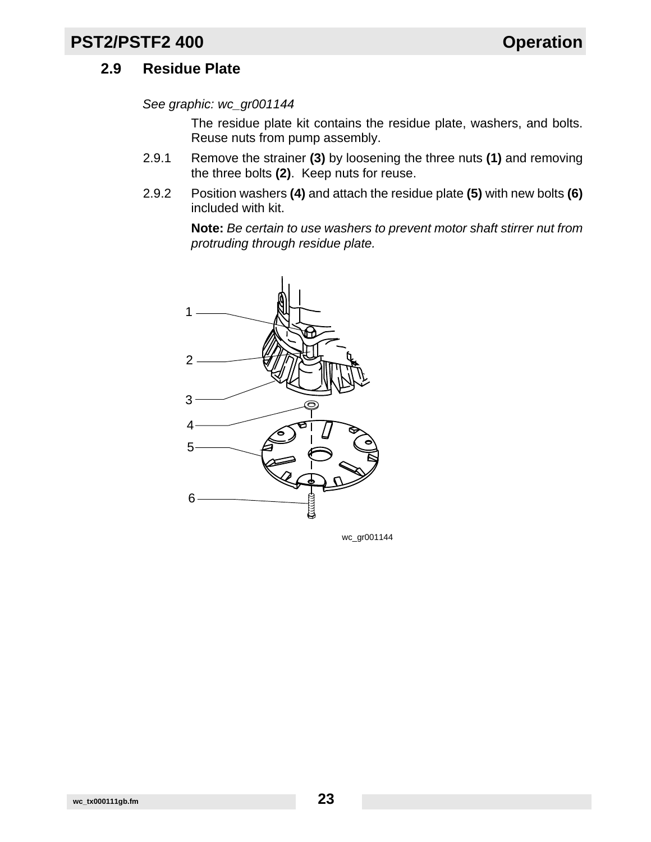## <span id="page-22-0"></span>**2.9 Residue Plate**

*See graphic: wc\_gr001144*

The residue plate kit contains the residue plate, washers, and bolts. Reuse nuts from pump assembly.

- 2.9.1 Remove the strainer **(3)** by loosening the three nuts **(1)** and removing the three bolts **(2)**. Keep nuts for reuse.
- 2.9.2 Position washers **(4)** and attach the residue plate **(5)** with new bolts **(6)** included with kit.

**Note:** *Be certain to use washers to prevent motor shaft stirrer nut from protruding through residue plate.*



wc\_gr001144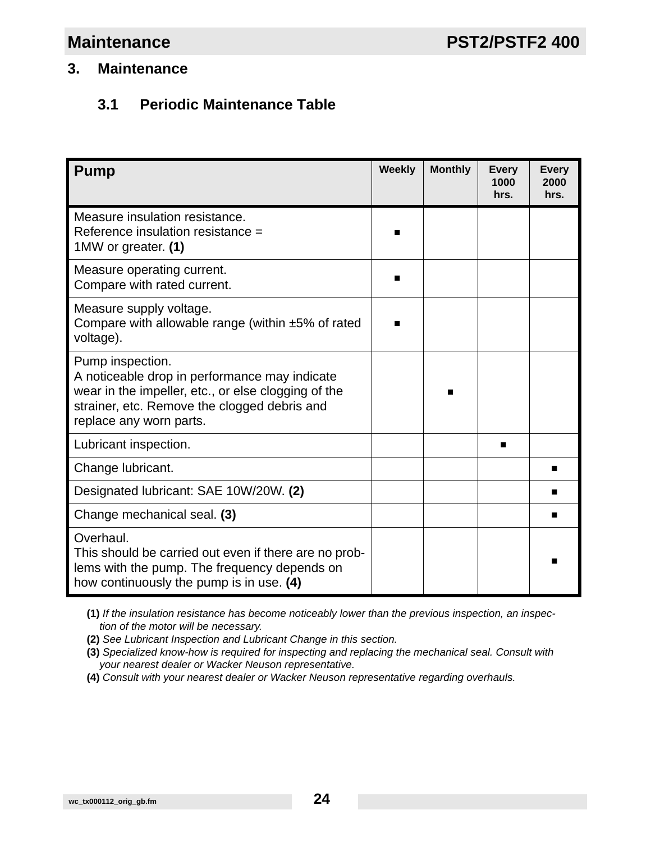## <span id="page-23-0"></span>**3. Maintenance**

## <span id="page-23-1"></span>**3.1 Periodic Maintenance Table**

| <b>Pump</b>                                                                                                                                                                                         | <b>Weekly</b> | <b>Monthly</b> | <b>Every</b><br>1000<br>hrs. | <b>Every</b><br>2000<br>hrs. |
|-----------------------------------------------------------------------------------------------------------------------------------------------------------------------------------------------------|---------------|----------------|------------------------------|------------------------------|
| Measure insulation resistance.<br>Reference insulation resistance =<br>1MW or greater. (1)                                                                                                          |               |                |                              |                              |
| Measure operating current.<br>Compare with rated current.                                                                                                                                           |               |                |                              |                              |
| Measure supply voltage.<br>Compare with allowable range (within $±5\%$ of rated<br>voltage).                                                                                                        |               |                |                              |                              |
| Pump inspection.<br>A noticeable drop in performance may indicate<br>wear in the impeller, etc., or else clogging of the<br>strainer, etc. Remove the clogged debris and<br>replace any worn parts. |               |                |                              |                              |
| Lubricant inspection.                                                                                                                                                                               |               |                |                              |                              |
| Change lubricant.                                                                                                                                                                                   |               |                |                              |                              |
| Designated lubricant: SAE 10W/20W. (2)                                                                                                                                                              |               |                |                              |                              |
| Change mechanical seal. (3)                                                                                                                                                                         |               |                |                              |                              |
| Overhaul.<br>This should be carried out even if there are no prob-<br>lems with the pump. The frequency depends on<br>how continuously the pump is in use. (4)                                      |               |                |                              |                              |

**(1)** *If the insulation resistance has become noticeably lower than the previous inspection, an inspection of the motor will be necessary.*

**(2)** *See Lubricant Inspection and Lubricant Change in this section.*

**(3)** *Specialized know-how is required for inspecting and replacing the mechanical seal. Consult with your nearest dealer or Wacker Neuson representative.*

**(4)** *Consult with your nearest dealer or Wacker Neuson representative regarding overhauls.*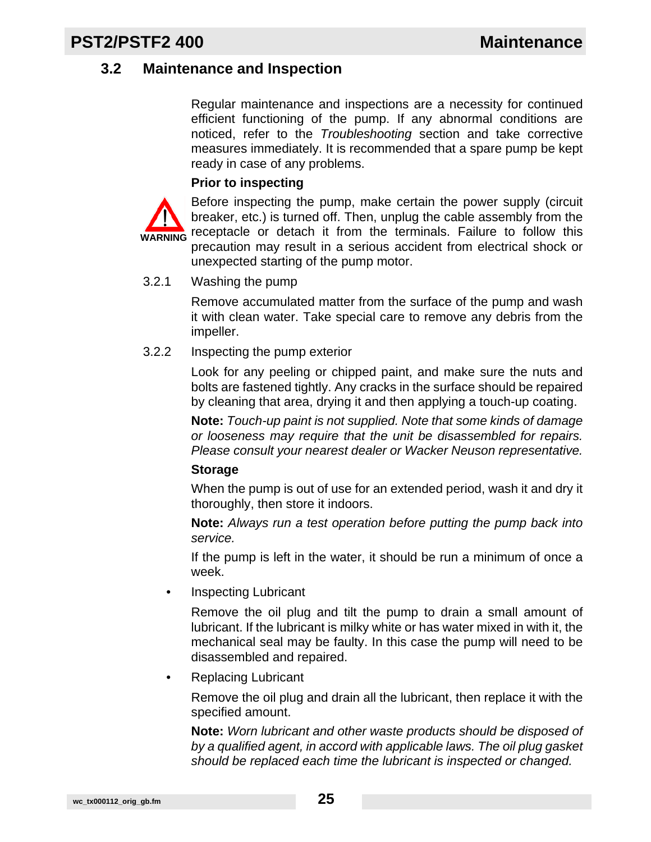## <span id="page-24-0"></span>**3.2 Maintenance and Inspection**

Regular maintenance and inspections are a necessity for continued efficient functioning of the pump. If any abnormal conditions are noticed, refer to the *Troubleshooting* section and take corrective measures immediately. It is recommended that a spare pump be kept ready in case of any problems.

## **Prior to inspecting**



Before inspecting the pump, make certain the power supply (circuit breaker, etc.) is turned off. Then, unplug the cable assembly from the receptacle or detach it from the terminals. Failure to follow this

precaution may result in a serious accident from electrical shock or unexpected starting of the pump motor.

3.2.1 Washing the pump

Remove accumulated matter from the surface of the pump and wash it with clean water. Take special care to remove any debris from the impeller.

3.2.2 Inspecting the pump exterior

Look for any peeling or chipped paint, and make sure the nuts and bolts are fastened tightly. Any cracks in the surface should be repaired by cleaning that area, drying it and then applying a touch-up coating.

**Note:** *Touch-up paint is not supplied. Note that some kinds of damage or looseness may require that the unit be disassembled for repairs. Please consult your nearest dealer or Wacker Neuson representative.*

## **Storage**

When the pump is out of use for an extended period, wash it and dry it thoroughly, then store it indoors.

**Note:** *Always run a test operation before putting the pump back into service.* 

If the pump is left in the water, it should be run a minimum of once a week.

• Inspecting Lubricant

Remove the oil plug and tilt the pump to drain a small amount of lubricant. If the lubricant is milky white or has water mixed in with it, the mechanical seal may be faulty. In this case the pump will need to be disassembled and repaired.

• Replacing Lubricant

Remove the oil plug and drain all the lubricant, then replace it with the specified amount.

**Note:** *Worn lubricant and other waste products should be disposed of by a qualified agent, in accord with applicable laws. The oil plug gasket should be replaced each time the lubricant is inspected or changed.*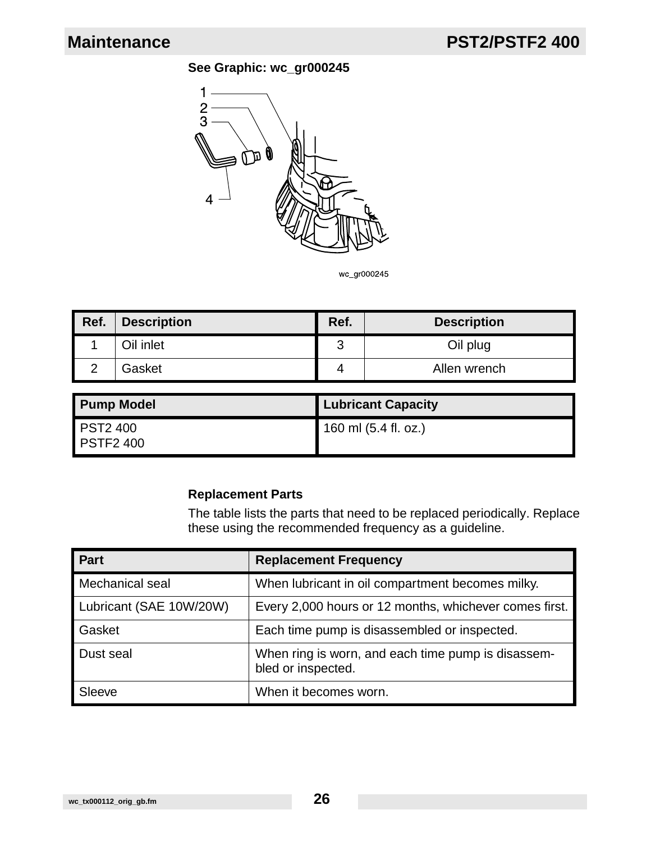## **See Graphic: wc\_gr000245**



wc\_gr000245

| Ref. | <b>Description</b> | Ref.   | <b>Description</b> |
|------|--------------------|--------|--------------------|
|      | Oil inlet          | າ<br>J | Oil plug           |
|      | Gasket             | 4      | Allen wrench       |

| <b>Pump Model</b>                 | <b>Lubricant Capacity</b> |
|-----------------------------------|---------------------------|
| <b>PST2400</b><br><b>PSTF2400</b> | 160 ml (5.4 fl. oz.)      |

## **Replacement Parts**

The table lists the parts that need to be replaced periodically. Replace these using the recommended frequency as a guideline.

| <b>Part</b>             | <b>Replacement Frequency</b>                                             |
|-------------------------|--------------------------------------------------------------------------|
| Mechanical seal         | When lubricant in oil compartment becomes milky.                         |
| Lubricant (SAE 10W/20W) | Every 2,000 hours or 12 months, whichever comes first.                   |
| Gasket                  | Each time pump is disassembled or inspected.                             |
| Dust seal               | When ring is worn, and each time pump is disassem-<br>bled or inspected. |
| Sleeve                  | When it becomes worn.                                                    |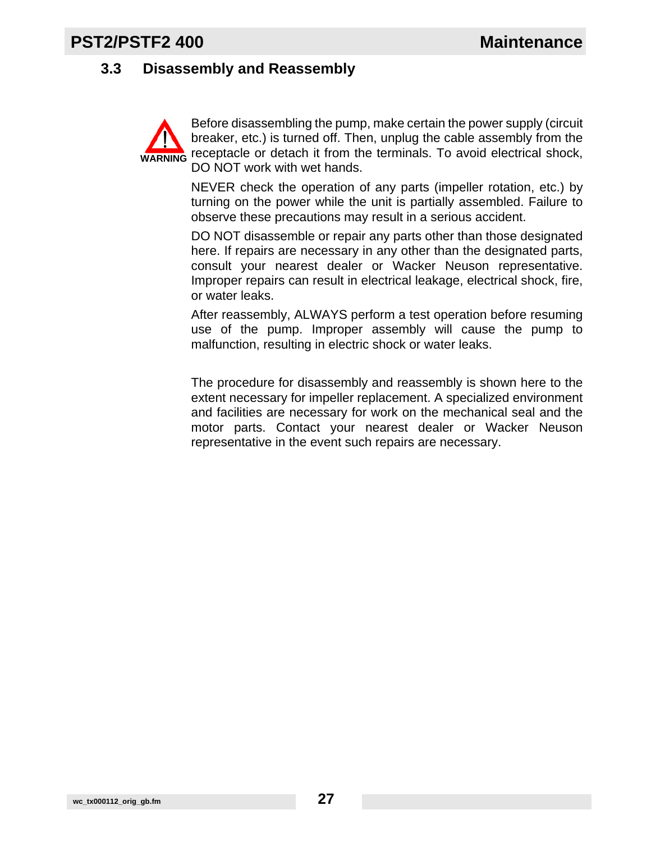## <span id="page-26-0"></span>**3.3 Disassembly and Reassembly**



Before disassembling the pump, make certain the power supply (circuit breaker, etc.) is turned off. Then, unplug the cable assembly from the receptacle or detach it from the terminals. To avoid electrical shock, DO NOT work with wet hands.

NEVER check the operation of any parts (impeller rotation, etc.) by turning on the power while the unit is partially assembled. Failure to observe these precautions may result in a serious accident.

DO NOT disassemble or repair any parts other than those designated here. If repairs are necessary in any other than the designated parts, consult your nearest dealer or Wacker Neuson representative. Improper repairs can result in electrical leakage, electrical shock, fire, or water leaks.

After reassembly, ALWAYS perform a test operation before resuming use of the pump. Improper assembly will cause the pump to malfunction, resulting in electric shock or water leaks.

The procedure for disassembly and reassembly is shown here to the extent necessary for impeller replacement. A specialized environment and facilities are necessary for work on the mechanical seal and the motor parts. Contact your nearest dealer or Wacker Neuson representative in the event such repairs are necessary.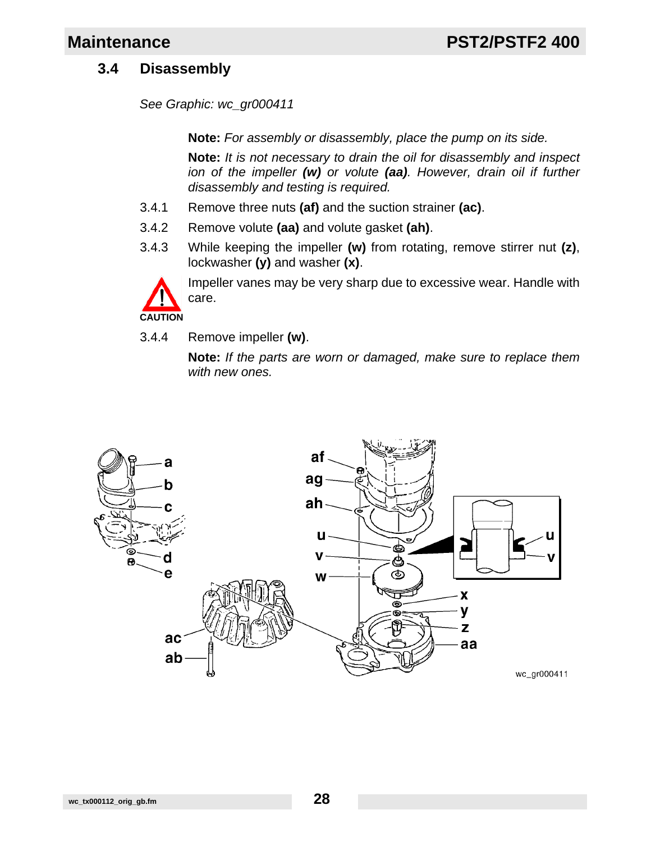## <span id="page-27-0"></span>**3.4 Disassembly**

*See Graphic: wc\_gr000411*

**Note:** *For assembly or disassembly, place the pump on its side.*

**Note:** *It is not necessary to drain the oil for disassembly and inspect ion of the impeller (w) or volute (aa). However, drain oil if further disassembly and testing is required.*

- 3.4.1 Remove three nuts **(af)** and the suction strainer **(ac)**.
- 3.4.2 Remove volute **(aa)** and volute gasket **(ah)**.
- 3.4.3 While keeping the impeller **(w)** from rotating, remove stirrer nut **(z)**, lockwasher **(y)** and washer **(x)**.



**CAUTION**

3.4.4 Remove impeller **(w)**.

care.

**Note:** *If the parts are worn or damaged, make sure to replace them with new ones.*

Impeller vanes may be very sharp due to excessive wear. Handle with

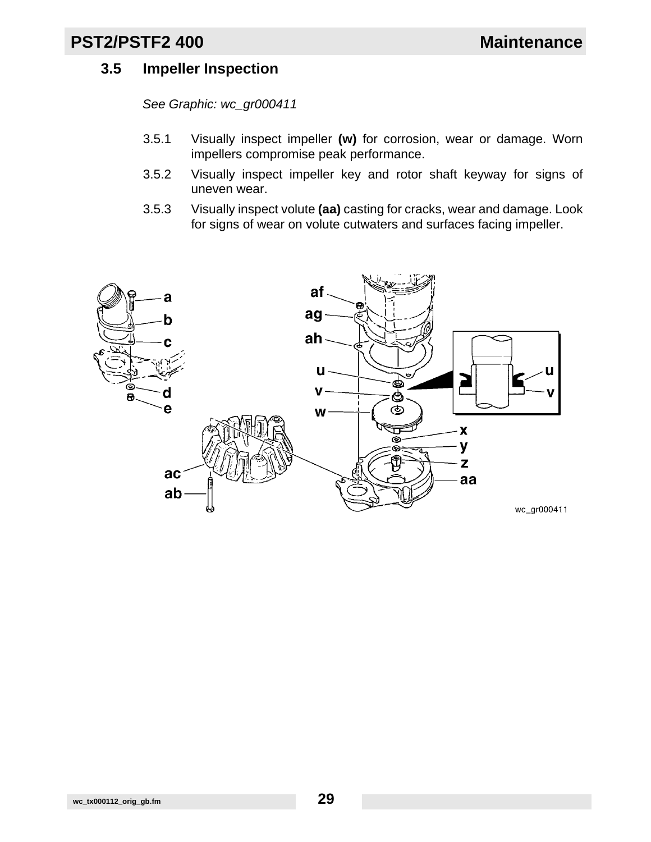## <span id="page-28-0"></span>**PST2/PSTF2 400 Maintenance**

## **3.5 Impeller Inspection**

*See Graphic: wc\_gr000411* 

- 3.5.1 Visually inspect impeller **(w)** for corrosion, wear or damage. Worn impellers compromise peak performance.
- 3.5.2 Visually inspect impeller key and rotor shaft keyway for signs of uneven wear.
- 3.5.3 Visually inspect volute **(aa)** casting for cracks, wear and damage. Look for signs of wear on volute cutwaters and surfaces facing impeller.

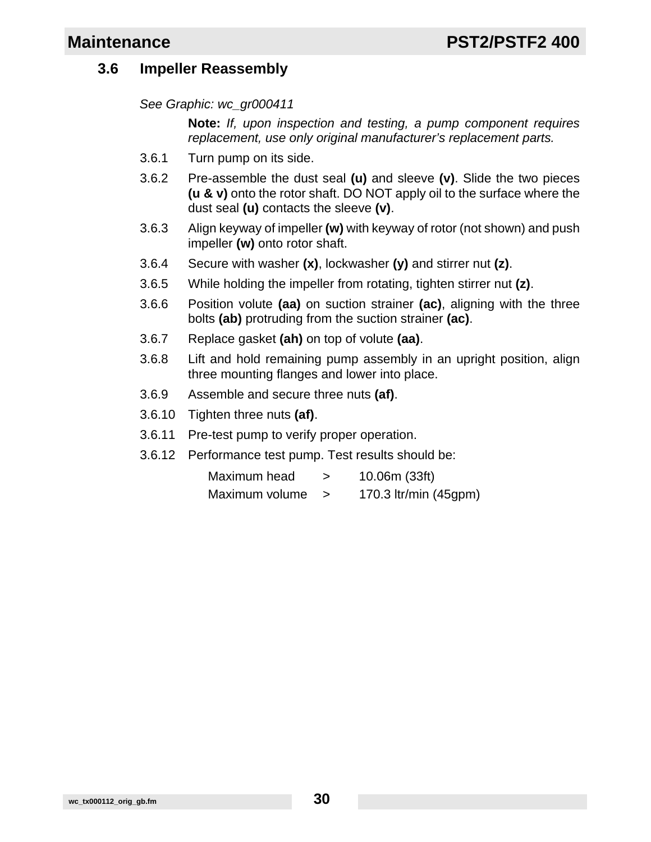## <span id="page-29-0"></span>**3.6 Impeller Reassembly**

*See Graphic: wc\_gr000411*

**Note:** *If, upon inspection and testing, a pump component requires replacement, use only original manufacturer's replacement parts.*

- 3.6.1 Turn pump on its side.
- 3.6.2 Pre-assemble the dust seal **(u)** and sleeve **(v)**. Slide the two pieces **(u & v)** onto the rotor shaft. DO NOT apply oil to the surface where the dust seal **(u)** contacts the sleeve **(v)**.
- 3.6.3 Align keyway of impeller **(w)** with keyway of rotor (not shown) and push impeller **(w)** onto rotor shaft.
- 3.6.4 Secure with washer **(x)**, lockwasher **(y)** and stirrer nut **(z)**.
- 3.6.5 While holding the impeller from rotating, tighten stirrer nut **(z)**.
- 3.6.6 Position volute **(aa)** on suction strainer **(ac)**, aligning with the three bolts **(ab)** protruding from the suction strainer **(ac)**.
- 3.6.7 Replace gasket **(ah)** on top of volute **(aa)**.
- 3.6.8 Lift and hold remaining pump assembly in an upright position, align three mounting flanges and lower into place.
- 3.6.9 Assemble and secure three nuts **(af)**.
- 3.6.10 Tighten three nuts **(af)**.
- 3.6.11 Pre-test pump to verify proper operation.
- 3.6.12 Performance test pump. Test results should be:

| Maximum head   | 10.06m (33ft)         |
|----------------|-----------------------|
| Maximum volume | 170.3 ltr/min (45gpm) |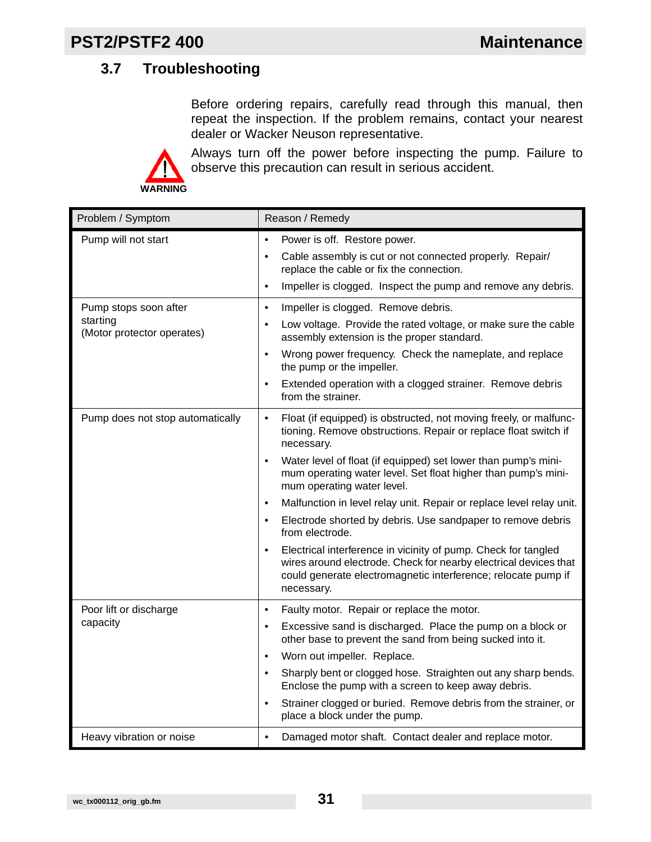## <span id="page-30-0"></span>**3.7 Troubleshooting**

Before ordering repairs, carefully read through this manual, then repeat the inspection. If the problem remains, contact your nearest dealer or Wacker Neuson representative.



Always turn off the power before inspecting the pump. Failure to observe this precaution can result in serious accident.

| Problem / Symptom                                               | Reason / Remedy                                                                                                                                                                                                                                                                                                                                                                                                                                                                                                                                                                                                                                                                                                                           |
|-----------------------------------------------------------------|-------------------------------------------------------------------------------------------------------------------------------------------------------------------------------------------------------------------------------------------------------------------------------------------------------------------------------------------------------------------------------------------------------------------------------------------------------------------------------------------------------------------------------------------------------------------------------------------------------------------------------------------------------------------------------------------------------------------------------------------|
| Pump will not start                                             | Power is off. Restore power.<br>$\bullet$<br>Cable assembly is cut or not connected properly. Repair/<br>$\bullet$<br>replace the cable or fix the connection.<br>Impeller is clogged. Inspect the pump and remove any debris.<br>$\bullet$                                                                                                                                                                                                                                                                                                                                                                                                                                                                                               |
| Pump stops soon after<br>starting<br>(Motor protector operates) | Impeller is clogged. Remove debris.<br>$\bullet$<br>Low voltage. Provide the rated voltage, or make sure the cable<br>$\bullet$<br>assembly extension is the proper standard.<br>Wrong power frequency. Check the nameplate, and replace<br>$\bullet$<br>the pump or the impeller.<br>Extended operation with a clogged strainer. Remove debris<br>from the strainer.                                                                                                                                                                                                                                                                                                                                                                     |
| Pump does not stop automatically                                | Float (if equipped) is obstructed, not moving freely, or malfunc-<br>$\bullet$<br>tioning. Remove obstructions. Repair or replace float switch if<br>necessary.<br>Water level of float (if equipped) set lower than pump's mini-<br>$\bullet$<br>mum operating water level. Set float higher than pump's mini-<br>mum operating water level.<br>Malfunction in level relay unit. Repair or replace level relay unit.<br>$\bullet$<br>Electrode shorted by debris. Use sandpaper to remove debris<br>from electrode.<br>Electrical interference in vicinity of pump. Check for tangled<br>wires around electrode. Check for nearby electrical devices that<br>could generate electromagnetic interference; relocate pump if<br>necessary. |
| Poor lift or discharge<br>capacity<br>Heavy vibration or noise  | Faulty motor. Repair or replace the motor.<br>$\bullet$<br>Excessive sand is discharged. Place the pump on a block or<br>$\bullet$<br>other base to prevent the sand from being sucked into it.<br>Worn out impeller. Replace.<br>$\bullet$<br>Sharply bent or clogged hose. Straighten out any sharp bends.<br>$\bullet$<br>Enclose the pump with a screen to keep away debris.<br>Strainer clogged or buried. Remove debris from the strainer, or<br>$\bullet$<br>place a block under the pump.<br>Damaged motor shaft. Contact dealer and replace motor.                                                                                                                                                                               |

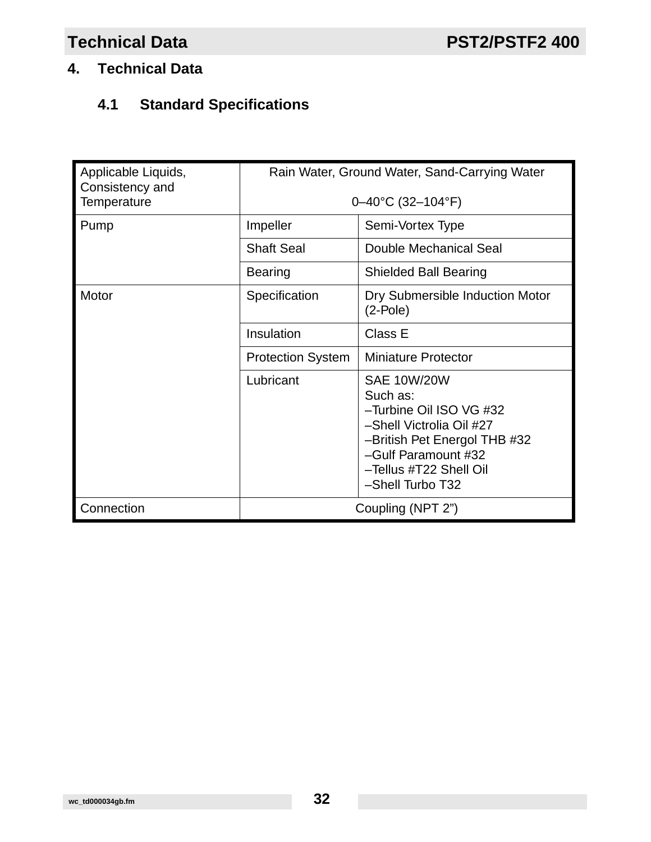## <span id="page-31-0"></span>**4. Technical Data**

# <span id="page-31-1"></span>**4.1 Standard Specifications**

| Applicable Liquids,<br>Consistency and<br>Temperature | Rain Water, Ground Water, Sand-Carrying Water<br>$0 - 40^{\circ}$ C (32-104°F) |                                                                                                                                                                                            |  |
|-------------------------------------------------------|--------------------------------------------------------------------------------|--------------------------------------------------------------------------------------------------------------------------------------------------------------------------------------------|--|
| Pump                                                  | Impeller                                                                       | Semi-Vortex Type                                                                                                                                                                           |  |
|                                                       | <b>Shaft Seal</b>                                                              | Double Mechanical Seal                                                                                                                                                                     |  |
|                                                       | <b>Bearing</b>                                                                 | <b>Shielded Ball Bearing</b>                                                                                                                                                               |  |
| Motor                                                 | Specification                                                                  | Dry Submersible Induction Motor<br>$(2-Pole)$                                                                                                                                              |  |
|                                                       | Insulation                                                                     | Class E                                                                                                                                                                                    |  |
|                                                       | <b>Protection System</b>                                                       | <b>Miniature Protector</b>                                                                                                                                                                 |  |
|                                                       | Lubricant                                                                      | <b>SAE 10W/20W</b><br>Such as:<br>-Turbine Oil ISO VG #32<br>-Shell Victrolia Oil #27<br>-British Pet Energol THB #32<br>-Gulf Paramount #32<br>-Tellus #T22 Shell Oil<br>-Shell Turbo T32 |  |
| Connection                                            |                                                                                | Coupling (NPT 2")                                                                                                                                                                          |  |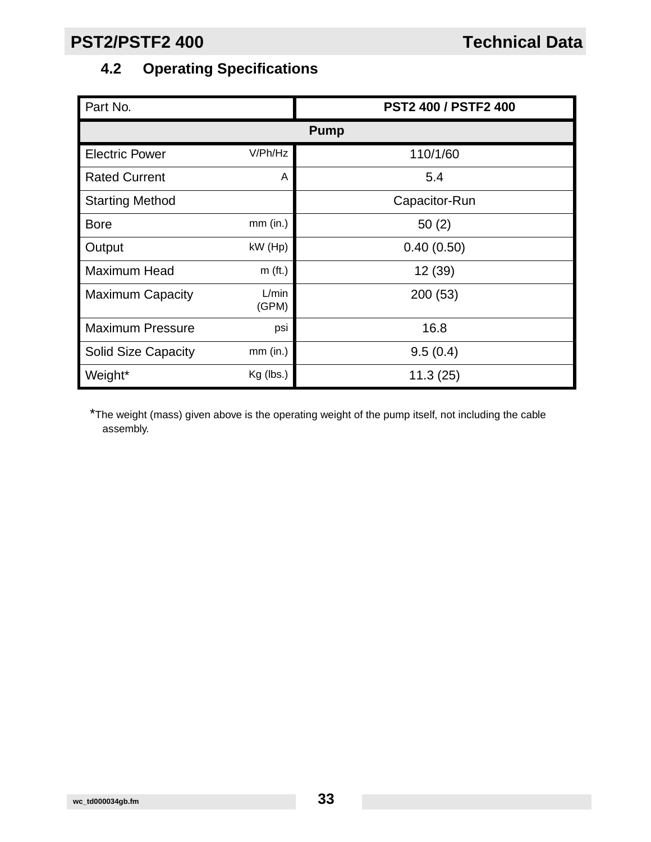# <span id="page-32-0"></span>**4.2 Operating Specifications**

| Part No.                   |                | <b>PST2 400 / PSTF2 400</b> |
|----------------------------|----------------|-----------------------------|
|                            |                | <b>Pump</b>                 |
| <b>Electric Power</b>      | V/Ph/Hz        | 110/1/60                    |
| <b>Rated Current</b>       | A              | 5.4                         |
| <b>Starting Method</b>     |                | Capacitor-Run               |
| <b>Bore</b>                | $mm$ (in.)     | 50(2)                       |
| Output                     | kW (Hp)        | 0.40(0.50)                  |
| Maximum Head               | $m$ (ft.)      | 12 (39)                     |
| <b>Maximum Capacity</b>    | L/min<br>(GPM) | 200(53)                     |
| <b>Maximum Pressure</b>    | psi            | 16.8                        |
| <b>Solid Size Capacity</b> | $mm$ (in.)     | 9.5(0.4)                    |
| Weight*                    | Kg (lbs.)      | 11.3(25)                    |

\*The weight (mass) given above is the operating weight of the pump itself, not including the cable assembly.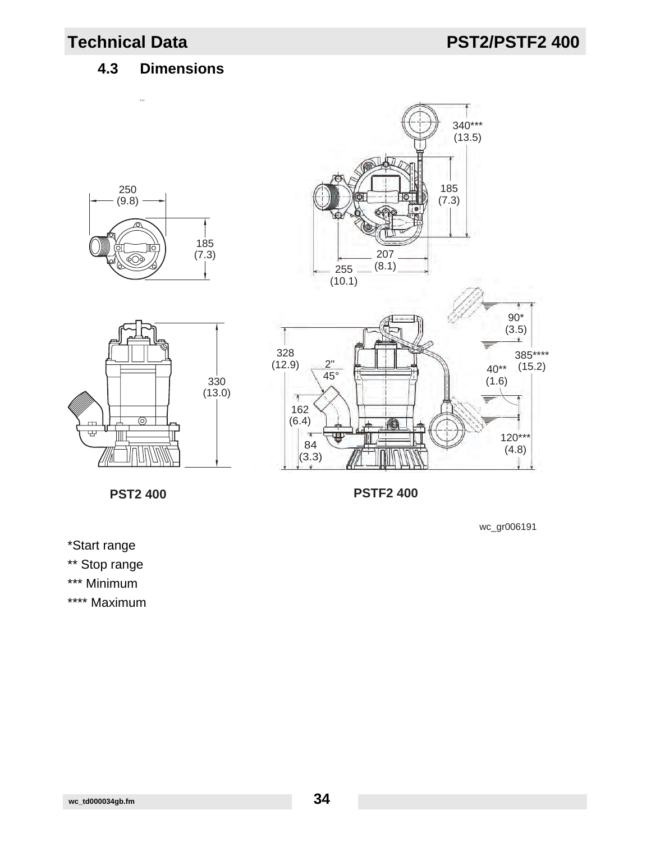$\overline{43}$ 

## <span id="page-33-0"></span>**4.3 Dimensions**

185  $(7.3)$ 250  $(9.8)$ 





**PST2 400 PSTF2 400**

wc\_gr006191

\*Start range

\*\* Stop range

\*\*\* Minimum

\*\*\*\* Maximum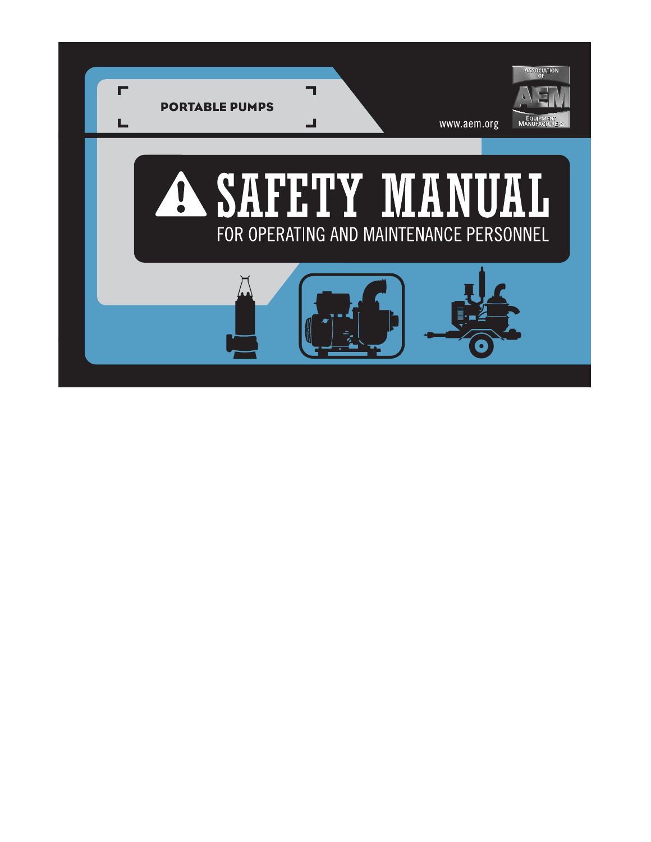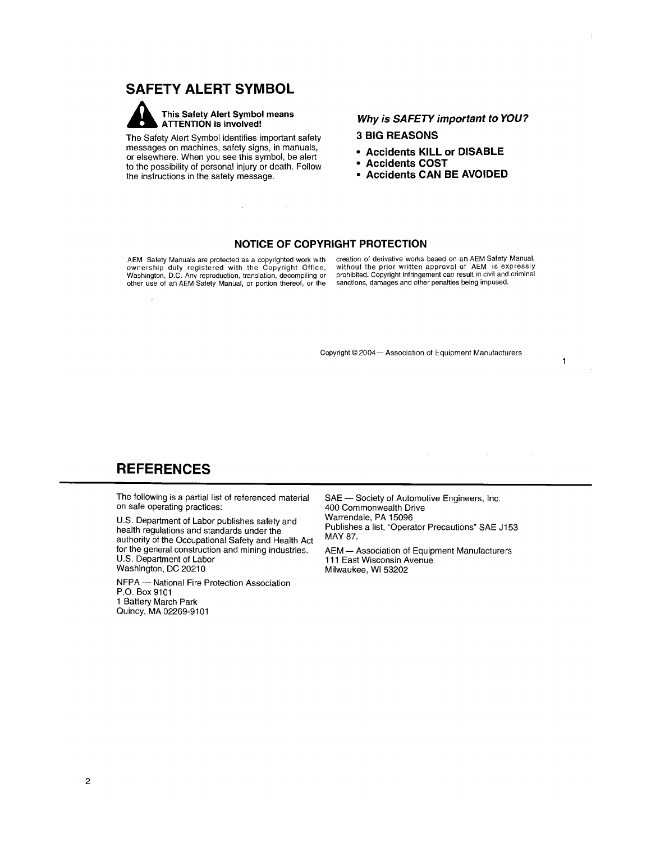## **SAFETY ALERT SYMBOL**



The Safety Alert Symbol identifies important safety messages on machines, safety signs, in manuals, or elsewhere. When you see this symbol, be alert to the possibility of personal injury or death. Follow the instructions in the safety message.

 $\mathcal{A}^{\mathcal{A}}$ 

## Why is SAFETY important to YOU?

### **3 BIG REASONS**

- Accidents KILL or DISABLE
- Accidents COST
- Accidents CAN BE AVOIDED

### **NOTICE OF COPYRIGHT PROTECTION**

AEM Safety Manuals are protected as a copyrighted work with<br>ownership duly registered with the Copyright Office,<br>Washington, D.C. Any reproduction, translation, decompiling or<br>other use of an AEM Safety Manual, or portion

creation of derivative works based on an AEM Safety Manual, without the prior written approval of AEM is expressly prohibited. Copyright infringement can result in civil and criminal sanctions, damages and other penalties being imposed.

Copyright © 2004 - Association of Equipment Manufacturers

 $\mathbf{1}$ 

## **REFERENCES**

The following is a partial list of referenced material on safe operating practices:

U.S. Department of Labor publishes safety and health regulations and standards under the authority of the Occupational Safety and Health Act for the general construction and mining industries. U.S. Department of Labor Washington, DC 20210

NFPA - National Fire Protection Association P.O. Box 9101 1 Battery March Park Quincy, MA 02269-9101

SAE - Society of Automotive Engineers, Inc. 400 Commonwealth Drive Warrendale, PA 15096 Publishes a list, "Operator Precautions" SAE J153 MAY 87.

AEM - Association of Equipment Manufacturers 111 East Wisconsin Avenue Milwaukee, WI 53202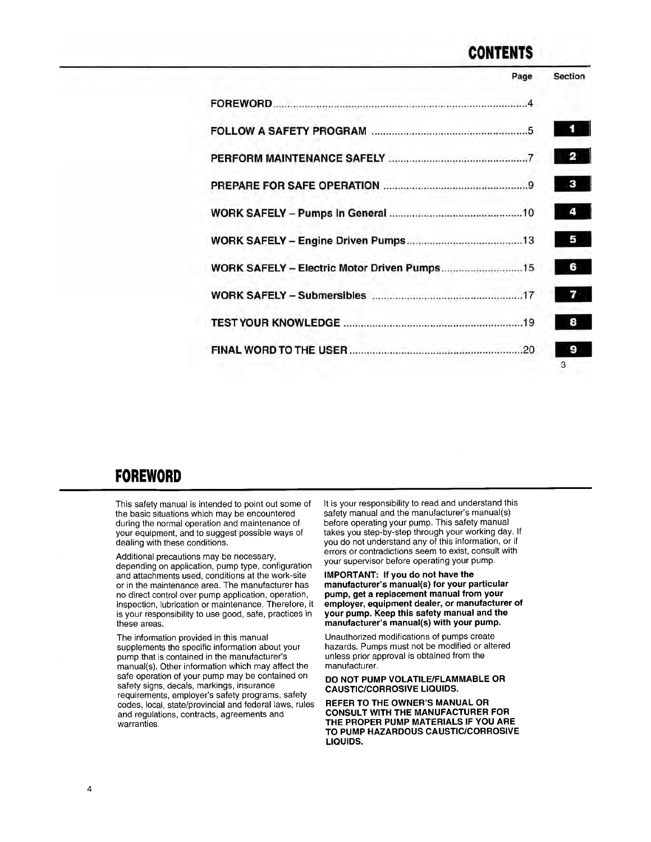## **CONTENTS**

| Page                                        | <b>Section</b> |
|---------------------------------------------|----------------|
|                                             |                |
|                                             |                |
|                                             | 2              |
|                                             | з              |
|                                             | 4              |
|                                             | 5              |
| WORK SAFELY - Electric Motor Driven Pumps15 | 6              |
|                                             | 7              |
|                                             | 8              |
|                                             | 9              |
|                                             | з              |

## **FOREWORD**

This safety manual is intended to point out some of the basic situations which may be encountered during the normal operation and maintenance of your equipment, and to suggest possible ways of dealing with these conditions.

Additional precautions may be necessary, depending on application, pump type, configuration and attachments used, conditions at the work-site or in the maintenance area. The manufacturer has no direct control over pump application, operation, inspection, lubrication or maintenance. Therefore, it is your responsibility to use good, safe, practices in these areas.

The information provided in this manual supplements the specific information about your pump that is contained in the manufacturer's manual(s). Other information which may affect the safe operation of your pump may be contained on safety signs, decals, markings, insurance requirements, employer's safety programs, safety codes, local, state/provincial and federal laws, rules and regulations, contracts, agreements and warranties.

It is your responsibility to read and understand this safety manual and the manufacturer's manual(s) before operating your pump. This safety manual takes you step-by-step through your working day. If you do not understand any of this information, or if errors or contradictions seem to exist, consult with your supervisor before operating your pump.

IMPORTANT: If you do not have the manufacturer's manual(s) for your particular pump, get a replacement manual from your employer, equipment dealer, or manufacturer of your pump. Keep this safety manual and the manufacturer's manual(s) with your pump.

Unauthorized modifications of pumps create hazards. Pumps must not be modified or altered unless prior approval is obtained from the manufacturer.

### DO NOT PUMP VOLATILE/FLAMMABLE OR **CAUSTIC/CORROSIVE LIQUIDS.**

**REFER TO THE OWNER'S MANUAL OR CONSULT WITH THE MANUFACTURER FOR** THE PROPER PUMP MATERIALS IF YOU ARE TO PUMP HAZARDOUS CAUSTIC/CORROSIVE LIQUIDS.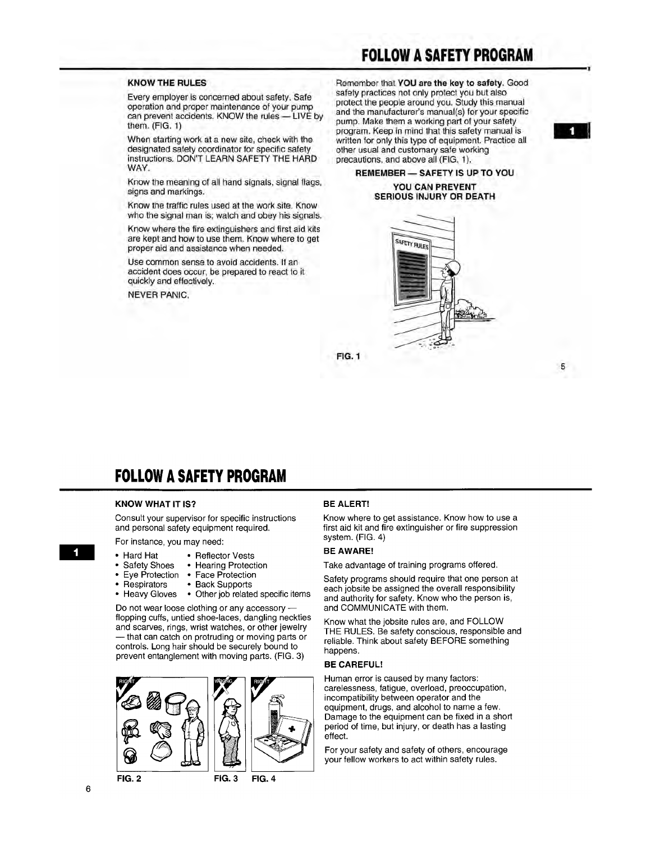## **FOLLOW A SAFETY PROGRAM**

### **KNOW THE RULES**

Every employer is concerned about safety. Safe operation and proper maintenance of your pump can prevent accidents. KNOW the rules - LIVE by them. (FIG. 1)

When starting work at a new site, check with the designated safety coordinator for specific safety instructions. DON'T LEARN SAFETY THE HARD WAY.

Know the meaning of all hand signals, signal flags, signs and markings.

Know the traffic rules used at the work site. Know who the signal man is; watch and obey his signals.

Know where the fire extinguishers and first aid kits are kept and how to use them. Know where to get proper aid and assistance when needed.

Use common sense to avoid accidents. If an accident does occur, be prepared to react to it quickly and effectively.

**NEVER PANIC.** 

Remember that YOU are the key to safety. Good safety practices not only protect you but also protect the people around you. Study this manual and the manufacturer's manual(s) for your specific pump. Make them a working part of your safety program. Keep in mind that this safety manual is written for only this type of equipment. Practice all other usual and customary safe working precautions, and above all (FIG, 1).

REMEMBER - SAFETY IS UP TO YOU

### **YOU CAN PREVENT SERIOUS INJURY OR DEATH**



## **FOLLOW A SAFETY PROGRAM**

### **KNOW WHAT IT IS?**

Consult your supervisor for specific instructions and personal safety equipment required. For instance, you may need:



- Hard Hat • Reflector Vests
- Safety Shoes • Hearing Protection
- Eye Protection Face Protection
- Respirators • Back Supports
	-

• Heavy Gloves • Other job related specific items

Do not wear loose clothing or any accessory flopping cuffs, untied shoe-laces, dangling neckties and scarves, rings, wrist watches, or other jewelry that can catch on protruding or moving parts or controls. Long hair should be securely bound to prevent entanglement with moving parts. (FIG. 3)





## **BE ALERT!**

**FIG. 1** 

Know where to get assistance. Know how to use a first aid kit and fire extinguisher or fire suppression system. (FIG. 4)

### **BE AWARE!**

Take advantage of training programs offered.

Safety programs should require that one person at each jobsite be assigned the overall responsibility and authority for safety. Know who the person is, and COMMUNICATE with them.

Know what the jobsite rules are, and FOLLOW THE RULES. Be safety conscious, responsible and reliable. Think about safety BEFORE something happens.

### **BE CAREFUL!**

Human error is caused by many factors: carelessness, fatigue, overload, preoccupation, incompatibility between operator and the equipment, drugs, and alcohol to name a few. Damage to the equipment can be fixed in a short period of time, but injury, or death has a lasting effect.

For your safety and safety of others, encourage your fellow workers to act within safety rules.



6

5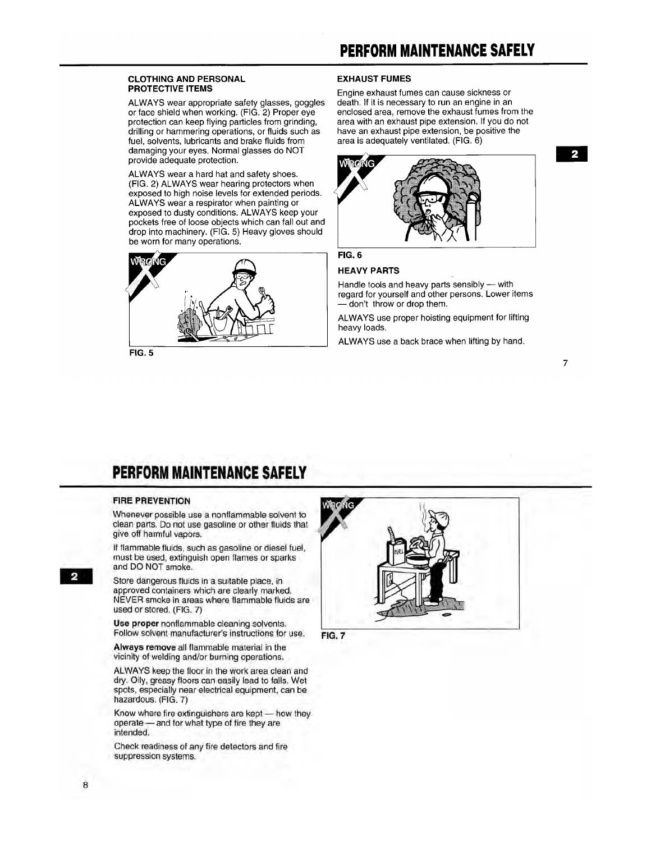### **CLOTHING AND PERSONAL** PROTECTIVE ITEMS

ALWAYS wear appropriate safety glasses, goggles or face shield when working. (FIG. 2) Proper eye protection can keep flying particles from grinding, drilling or hammering operations, or fluids such as fuel, solvents, lubricants and brake fluids from damaging your eyes. Normal glasses do NOT provide adequate protection.

ALWAYS wear a hard hat and safety shoes. (FIG. 2) ALWAYS wear hearing protectors when exposed to high noise levels for extended periods. ALWAYS wear a respirator when painting or exposed to dusty conditions. ALWAYS keep your pockets free of loose objects which can fall out and drop into machinery. (FIG. 5) Heavy gloves should be worn for many operations.



**FIG. 5** 

### **EXHAUST FUMES**

Engine exhaust fumes can cause sickness or death. If it is necessary to run an engine in an enclosed area, remove the exhaust fumes from the area with an exhaust pipe extension. If you do not have an exhaust pipe extension, be positive the area is adequately ventilated. (FIG. 6)



## **FIG. 6**

### **HEAVY PARTS**

Handle tools and heavy parts sensibly - with regard for yourself and other persons. Lower items - don't throw or drop them.

ALWAYS use proper hoisting equipment for lifting heavy loads.

ALWAYS use a back brace when lifting by hand.

 $\mathbf{2}$ 

# **PERFORM MAINTENANCE SAFELY**

### **FIRE PREVENTION**

Whenever possible use a nonflammable solvent to clean parts. Do not use gasoline or other fluids that give off harmful vapors.

If flammable fluids, such as gasoline or diesel fuel, must be used, extinguish open flames or sparks and DO NOT smoke.

Store dangerous fluids in a suitable place, in approved containers which are clearly marked. NEVER smoke in areas where flammable fluids are used or stored. (FIG. 7)

Use proper nonflammable cleaning solvents. Follow solvent manufacturer's instructions for use.

Always remove all flammable material in the vicinity of welding and/or burning operations.

ALWAYS keep the floor in the work area clean and dry. Oily, greasy floors can easily lead to falls. Wet spots, especially near electrical equipment, can be hazardous, (FIG, 7)

Know where fire extinguishers are kept - how they operate - and for what type of fire they are intended.

Check readiness of any fire detectors and fire suppression systems.



**FIG. 7** 

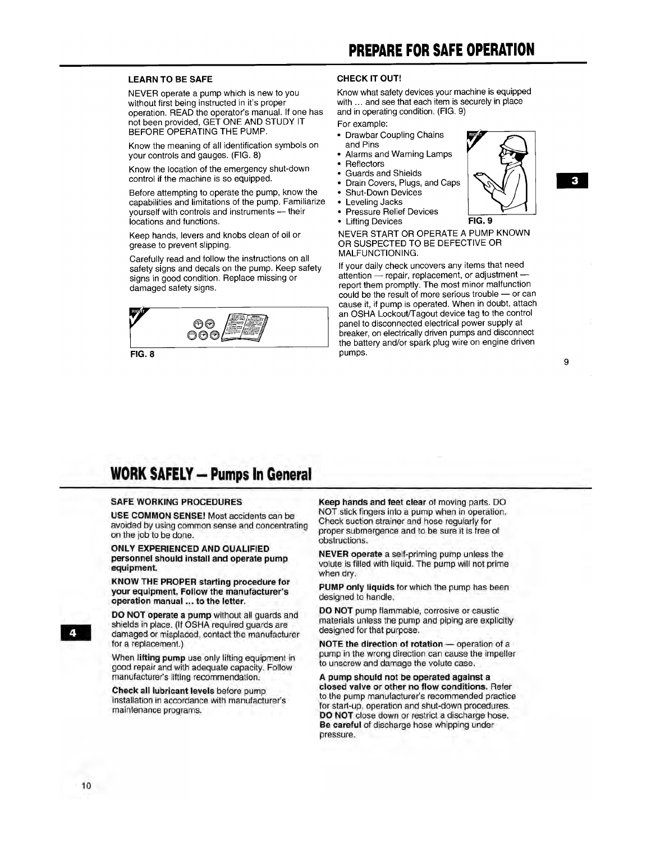### **LEARN TO BE SAFE**

NEVER operate a pump which is new to you without first being instructed in it's proper operation. READ the operator's manual. If one has not been provided, GET ONE AND STUDY IT BEFORE OPERATING THE PUMP.

Know the meaning of all identification symbols on your controls and gauges. (FIG. 8)

Know the location of the emergency shut-down control if the machine is so equipped.

Before attempting to operate the pump, know the capabilities and limitations of the pump. Familiarize yourself with controls and instruments - their locations and functions.

Keep hands, levers and knobs clean of oil or grease to prevent slipping.

Carefully read and follow the instructions on all safety signs and decals on the pump. Keep safety signs in good condition. Replace missing or damaged safety signs.



**FIG. 8** 

### **CHECK IT OUT!**

Know what safety devices your machine is equipped with ... and see that each item is securely in place and in operating condition. (FIG. 9)

For example:

- Drawbar Coupling Chains and Pins
- Alarms and Warning Lamps Reflectors
- **Guards and Shields**
- Drain Covers, Plugs, and Caps
- Shut-Down Devices
- Leveling Jacks
- Pressure Relief Devices
- Lifting Devices

**FIG. 9** 

NEVER START OR OPERATE A PUMP KNOWN OR SUSPECTED TO BE DEFECTIVE OR MALFUNCTIONING.

If your daily check uncovers any items that need attention — repair, replacement, or adjustment —<br>report them promptly. The most minor malfunction could be the result of more serious trouble - or can cause it, if pump is operated. When in doubt, attach an OSHA Lockout/Tagout device tag to the control panel to disconnected electrical power supply at breaker, on electrically driven pumps and disconnect the battery and/or spark plug wire on engine driven pumps.

9

3

## **WORK SAFELY - Pumps In General**

### **SAFE WORKING PROCEDURES**

USE COMMON SENSE! Most accidents can be avoided by using common sense and concentrating on the job to be done.

ONLY EXPERIENCED AND QUALIFIED personnel should install and operate pump equipment.

KNOW THE PROPER starting procedure for your equipment. Follow the manufacturer's operation manual ... to the letter.

DO NOT operate a pump without all guards and shields in place. (If OSHA required guards are damaged or misplaced, contact the manufacturer for a replacement.)

When lifting pump use only lifting equipment in good repair and with adequate capacity. Follow manufacturer's lifting recommendation.

Check all lubricant levels before pump installation in accordance with manufacturer's maintenance programs.

Keep hands and feet clear of moving parts. DO NOT stick fingers into a pump when in operation. Check suction strainer and hose regularly for proper submergence and to be sure it is free of obstructions.

NEVER operate a self-priming pump unless the volute is filled with liquid. The pump will not prime when dry.

PUMP only liquids for which the pump has been designed to handle.

DO NOT pump flammable, corrosive or caustic materials unless the pump and piping are explicitly designed for that purpose.

NOTE the direction of rotation - operation of a pump in the wrong direction can cause the impeller to unscrew and damage the volute case.

A pump should not be operated against a closed valve or other no flow conditions. Refer to the pump manufacturer's recommended practice for start-up, operation and shut-down procedures. DO NOT close down or restrict a discharge hose. Be careful of discharge hose whipping under pressure.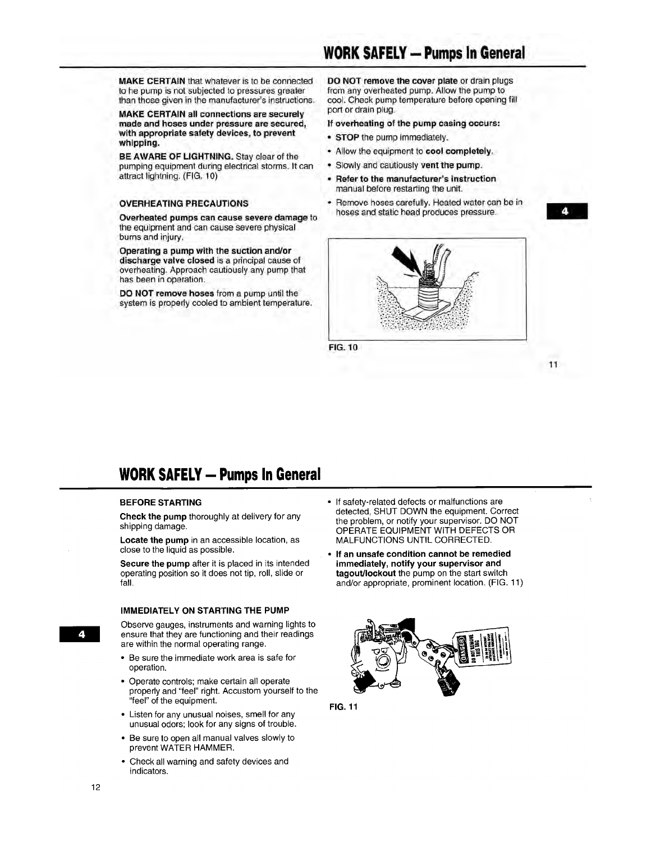MAKE CERTAIN that whatever is to be connected to he pump is not subjected to pressures greater than those given in the manufacturer's instructions.

MAKE CERTAIN all connections are securely made and hoses under pressure are secured, with appropriate safety devices, to prevent whipping.

BE AWARE OF LIGHTNING. Stay clear of the pumping equipment during electrical storms. It can attract lightning. (FIG. 10)

### **OVERHEATING PRECAUTIONS**

Overheated pumps can cause severe damage to the equipment and can cause severe physical burns and injury.

Operating a pump with the suction and/or discharge valve closed is a principal cause of overheating. Approach cautiously any pump that has been in operation.

DO NOT remove hoses from a pump until the system is properly cooled to ambient temperature.

DO NOT remove the cover plate or drain plugs from any overheated pump. Allow the pump to cool. Check pump temperature before opening fill port or drain plug.

If overheating of the pump casing occurs:

- STOP the pump immediately.
- . Allow the equipment to cool completely.
- . Slowly and cautiously vent the pump.
- Refer to the manufacturer's instruction manual before restarting the unit.
- è Remove hoses carefully. Heated water can be in hoses and static head produces pressure.



**FIG. 10** 

 $11$ 

## **WORK SAFELY - Pumps In General**

### **BEFORE STARTING**

Check the pump thoroughly at delivery for any shipping damage.

Locate the pump in an accessible location, as close to the liquid as possible.

Secure the pump after it is placed in its intended operating position so it does not tip, roll, slide or fall.

### **IMMEDIATELY ON STARTING THE PUMP**

Observe gauges, instruments and warning lights to ensure that they are functioning and their readings are within the normal operating range

- Be sure the immediate work area is safe for operation.
- Operate controls; make certain all operate properly and "feel" right. Accustom yourself to the "feel" of the equipment.
- Listen for any unusual noises, smell for any unusual odors; look for any signs of trouble.
- Be sure to open all manual valves slowly to prevent WATER HAMMER.
- Check all warning and safety devices and indicators.
- · If safety-related defects or malfunctions are detected, SHUT DOWN the equipment. Correct the problem, or notify your supervisor. DO NOT OPERATE EQUIPMENT WITH DEFECTS OR MALFUNCTIONS UNTIL CORRECTED.
- If an unsafe condition cannot be remedied immediately, notify your supervisor and tagout/lockout the pump on the start switch and/or appropriate, prominent location. (FIG. 11)



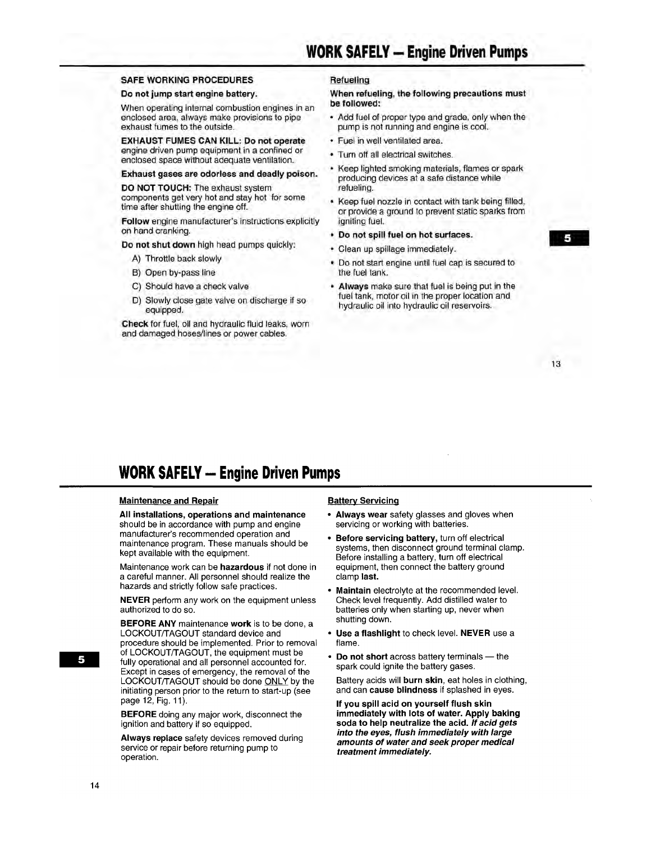### **SAFE WORKING PROCEDURES**

### Do not jump start engine battery.

When operating internal combustion engines in an enclosed area, always make provisions to pipe exhaust fumes to the outside.

**EXHAUST FUMES CAN KILL: Do not operate** engine driven pump equipment in a confined or enclosed space without adequate ventilation.

## Exhaust gases are odorless and deadly poison.

DO NOT TOUCH: The exhaust system components get very hot and stay hot for some time after shutting the engine off.

Follow engine manufacturer's instructions explicitly on hand cranking.

Do not shut down high head pumps quickly:

- A) Throttle back slowly
- B) Open by-pass line
- C) Should have a check valve
- D) Slowly close gate valve on discharge if so equipped.

Check for fuel, oil and hydraulic fluid leaks, worn and damaged hoses/lines or power cables.

### Refueling

### When refueling, the following precautions must be followed:

- Add fuel of proper type and grade, only when the pump is not running and engine is cool.
- · Fuel in well ventilated area.
- · Turn off all electrical switches.
- Keep lighted smoking materials, flames or spark producing devices at a safe distance while refueling.
- Keep fuel nozzle in contact with tank being filled, or provide a ground to prevent static sparks from igniting fuel.
- Do not spill fuel on hot surfaces.
- Clean up spillage immediately.
- Do not start engine until fuel cap is secured to the fuel tank.
- Always make sure that fuel is being put in the fuel tank, motor oil in the proper location and hydraulic oil into hydraulic oil reservoirs.

13

## **WORK SAFELY - Engine Driven Pumps**

### **Maintenance and Repair**

All installations, operations and maintenance should be in accordance with pump and engine manufacturer's recommended operation and maintenance program. These manuals should be kept available with the equipment.

Maintenance work can be hazardous if not done in a careful manner. All personnel should realize the hazards and strictly follow safe practices.

NEVER perform any work on the equipment unless authorized to do so.

**BEFORE ANY** maintenance work is to be done, a LOCKOUT/TAGOUT standard device and procedure should be implemented. Prior to removal of LOCKOUT/TAGOUT, the equipment must be fully operational and all personnel accounted for. Except in cases of emergency, the removal of the LOCKOUT/TAGOUT should be done ONLY by the initiating person prior to the return to start-up (see page 12, Fig. 11).

**BEFORE** doing any major work, disconnect the ignition and battery if so equipped.

Always replace safety devices removed during service or repair before returning pump to operation.

### **Battery Servicing**

- Always wear safety glasses and gloves when servicing or working with batteries.
- Before servicing battery, turn off electrical systems, then disconnect ground terminal clamp. Before installing a battery, turn off electrical equipment, then connect the battery ground clamp last.
- Maintain electrolyte at the recommended level. Check level frequently. Add distilled water to batteries only when starting up, never when shutting down.
- Use a flashlight to check level. NEVER use a flame.
- Do not short across battery terminals  $-$  the spark could ignite the battery gases.

Battery acids will burn skin, eat holes in clothing, and can cause blindness if splashed in eyes.

If you spill acid on yourself flush skin immediately with lots of water. Apply baking soda to help neutralize the acid. If acid gets into the eyes, flush immediately with large amounts of water and seek proper medical treatment immediately.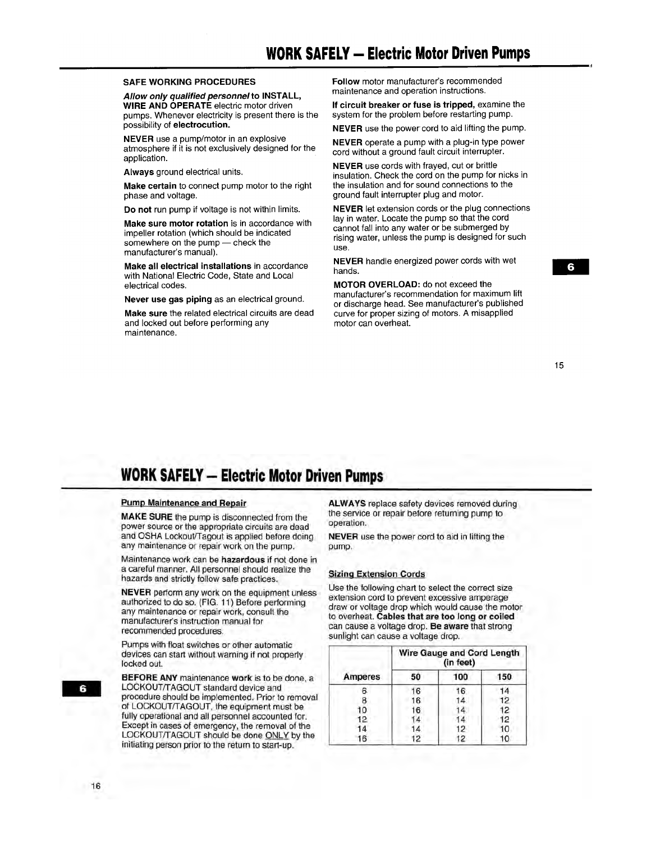### **SAFE WORKING PROCEDURES**

Allow only qualified personnel to INSTALL, WIRE AND OPERATE electric motor driven pumps. Whenever electricity is present there is the possibility of electrocution.

NEVER use a pump/motor in an explosive atmosphere if it is not exclusively designed for the application.

Always ground electrical units.

Make certain to connect pump motor to the right phase and voltage.

Do not run pump if voltage is not within limits.

Make sure motor rotation is in accordance with impeller rotation (which should be indicated somewhere on the pump - check the manufacturer's manual).

Make all electrical installations in accordance with National Electric Code, State and Local electrical codes.

Never use gas piping as an electrical ground.

Make sure the related electrical circuits are dead and locked out before performing any maintenance.

Follow motor manufacturer's recommended maintenance and operation instructions.

If circuit breaker or fuse is tripped, examine the system for the problem before restarting pump.

NEVER use the power cord to aid lifting the pump.

NEVER operate a pump with a plug-in type power cord without a ground fault circuit interrupter.

**NEVER** use cords with frayed, cut or brittle insulation. Check the cord on the pump for nicks in the insulation and for sound connections to the ground fault interrupter plug and motor.

NEVER let extension cords or the plug connections lay in water. Locate the pump so that the cord cannot fall into any water or be submerged by rising water, unless the pump is designed for such **use** 

NEVER handle energized power cords with wet hands.

MOTOR OVERLOAD: do not exceed the manufacturer's recommendation for maximum lift or discharge head. See manufacturer's published curve for proper sizing of motors. A misapplied motor can overheat.

15

6

## **WORK SAFELY - Electric Motor Driven Pumps**

### **Pump Maintenance and Repair**

MAKE SURE the pump is disconnected from the power source or the appropriate circuits are dead and OSHA Lockout/Tagout is applied before doing any maintenance or repair work on the pump.

Maintenance work can be hazardous if not done in a careful manner. All personnel should realize the hazards and strictly follow safe practices.

NEVER perform any work on the equipment unless authorized to do so. (FIG. 11) Before performing any maintenance or repair work, consult the manufacturer's instruction manual for recommended procedures.

Pumps with float switches or other automatic devices can start without warning if not properly locked out.

BEFORE ANY maintenance work is to be done, a LOCKOUT/TAGOUT standard device and procedure should be implemented. Prior to removal of LOCKOUT/TAGOUT, the equipment must be fully operational and all personnel accounted for. Except in cases of emergency, the removal of the LOCKOUT/TAGOUT should be done ONLY by the initiating person prior to the return to start-up.

ALWAYS replace safety devices removed during the service or repair before returning pump to operation.

NEVER use the power cord to aid in lifting the pump.

### **Sizing Extension Cords**

Use the following chart to select the correct size extension cord to prevent excessive amperage draw or voltage drop which would cause the motor to overheat. Cables that are too long or coiled can cause a voltage drop. Be aware that strong sunlight can cause a voltage drop.

|                  | Wire Gauge and Cord Length<br>(in feet) |     |     |
|------------------|-----------------------------------------|-----|-----|
| <b>Amperes</b>   | 50                                      | 100 | 150 |
|                  | 16                                      | 16  | 14  |
|                  | 16                                      | 4   | 12  |
| 10               | 16                                      | 4   | 12  |
| 12               |                                         |     | 12  |
| $\boldsymbol{A}$ |                                         | 12  | 10  |
| 16               | 12                                      | 2   | 10  |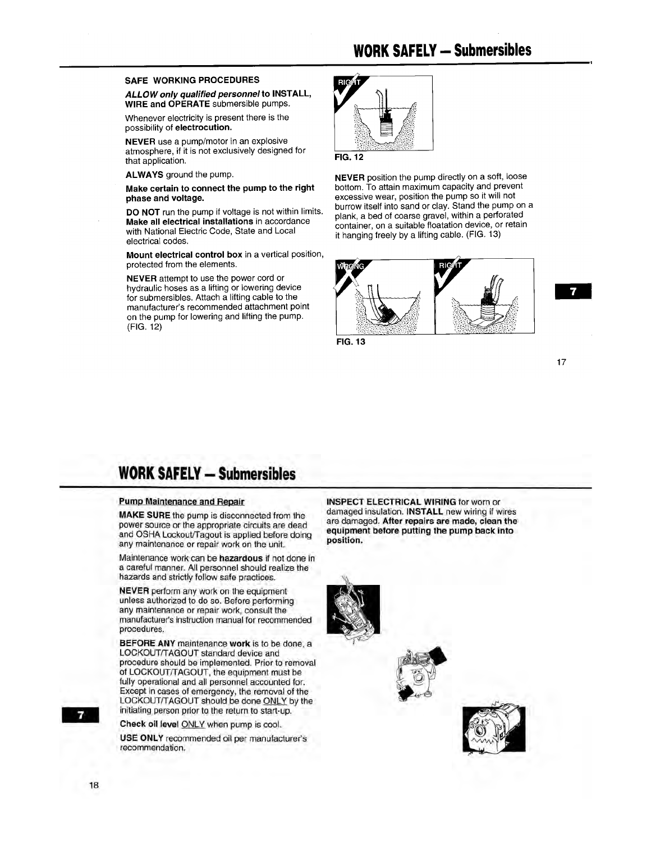## **WORK SAFELY - Submersibles**

### **SAFE WORKING PROCEDURES**

ALLOW only qualified personnel to INSTALL, WIRE and OPERATE submersible pumps.

Whenever electricity is present there is the possibility of electrocution.

NEVER use a pump/motor in an explosive atmosphere, if it is not exclusively designed for that application.

ALWAYS ground the pump.

Make certain to connect the pump to the right phase and voltage.

DO NOT run the pump if voltage is not within limits. Make all electrical installations in accordance with National Electric Code, State and Local electrical codes.

Mount electrical control box in a vertical position, protected from the elements.

NEVER attempt to use the power cord or hydraulic hoses as a lifting or lowering device for submersibles. Attach a lifting cable to the manufacturer's recommended attachment point on the pump for lowering and lifting the pump. (FIG. 12)



**FIG. 12** 

NEVER position the pump directly on a soft, loose bottom. To attain maximum capacity and prevent excessive wear, position the pump so it will not burrow itself into sand or clay. Stand the pump on a plank, a bed of coarse gravel, within a perforated container, on a suitable floatation device, or retain it hanging freely by a lifting cable. (FIG. 13)



**FIG. 13** 

 $17$ 

## **WORK SAFELY - Submersibles**

### **Pump Maintenance and Repair**

MAKE SURE the pump is disconnected from the power source or the appropriate circuits are dead and OSHA Lockout/Tagout is applied before doing any maintenance or repair work on the unit.

Maintenance work can be hazardous if not done in a careful manner. All personnel should realize the hazards and strictly follow safe practices.

NEVER perform any work on the equipment unless authorized to do so. Before performing any maintenance or repair work, consult the manufacturer's instruction manual for recommended procedures.

BEFORE ANY maintenance work is to be done, a LOCKOUT/TAGOUT standard device and procedure should be implemented. Prior to removal of LOCKOUT/TAGOUT, the equipment must be fully operational and all personnel accounted for. Except in cases of emergency, the removal of the LOCKOUT/TAGOUT should be done ONLY by the initiating person prior to the return to start-up.

Check oil level ONLY when pump is cool.

USE ONLY recommended oil per manufacturer's recommendation.

**INSPECT ELECTRICAL WIRING for worn or** damaged insulation. INSTALL new wiring if wires are damaged. After repairs are made, clean the equipment before putting the pump back into position.



7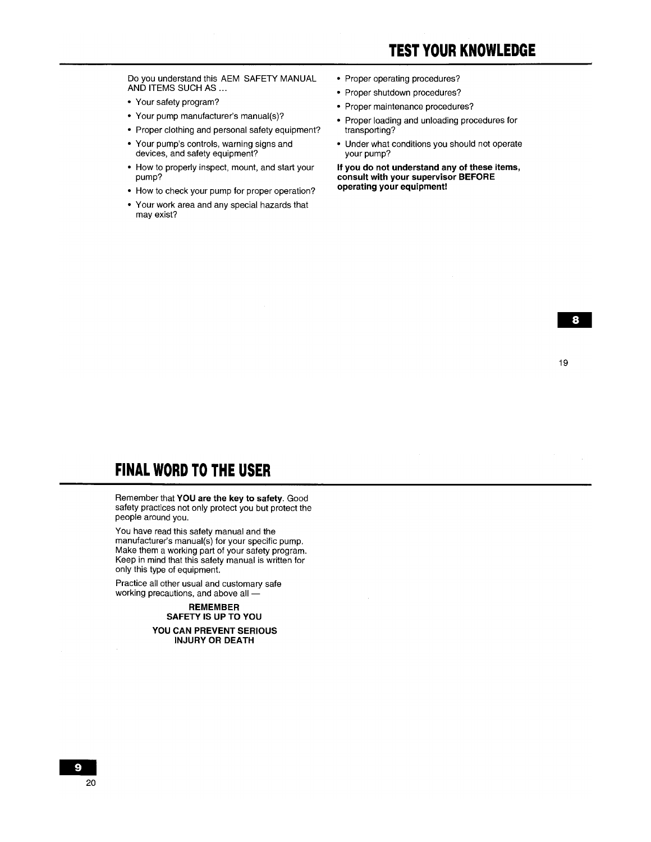Do you understand this AEM SAFETY MANUAL AND ITEMS SUCH AS ...

- Your safety program?
- Your pump manufacturer's manual(s)?
- Proper clothing and personal safety equipment?
- Your pump's controls, warning signs and devices, and safety equipment?
- How to properly inspect, mount, and start your pump?
- How to check your pump for proper operation?
- Your work area and any special hazards that may exist?
- Proper operating procedures?
- Proper shutdown procedures?
- Proper maintenance procedures?
- Proper loading and unloading procedures for transporting?
- Under what conditions you should not operate your pump?

If you do not understand any of these items, consult with your supervisor BEFORE operating your equipment!

19

8

## **FINAL WORD TO THE USER**

Remember that YOU are the key to safety. Good safety practices not only protect you but protect the people around you.

You have read this safety manual and the manufacturer's manual(s) for your specific pump. Make them a working part of your safety program. Keep in mind that this safety manual is written for only this type of equipment.

Practice all other usual and customary safe working precautions, and above all -

> **REMEMBER SAFETY IS UP TO YOU**

YOU CAN PREVENT SERIOUS **INJURY OR DEATH** 

20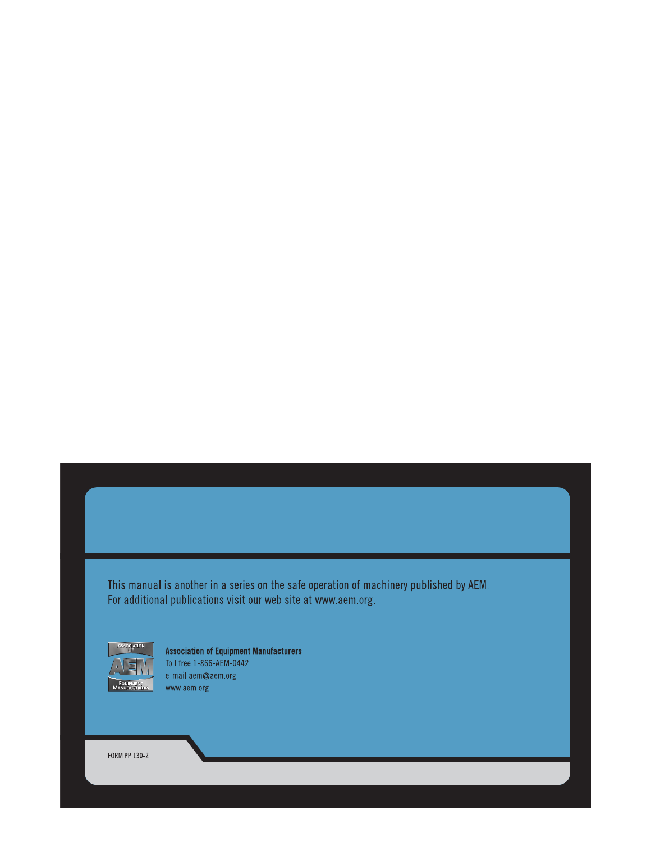This manual is another in a series on the safe operation of machinery published by AEM. For additional publications visit our web site at www.aem.org.



**Association of Equipment Manufacturers** Toll free 1-866-AEM-0442 e-mail aem@aem.org www.aem.org

FORM PP 130-2